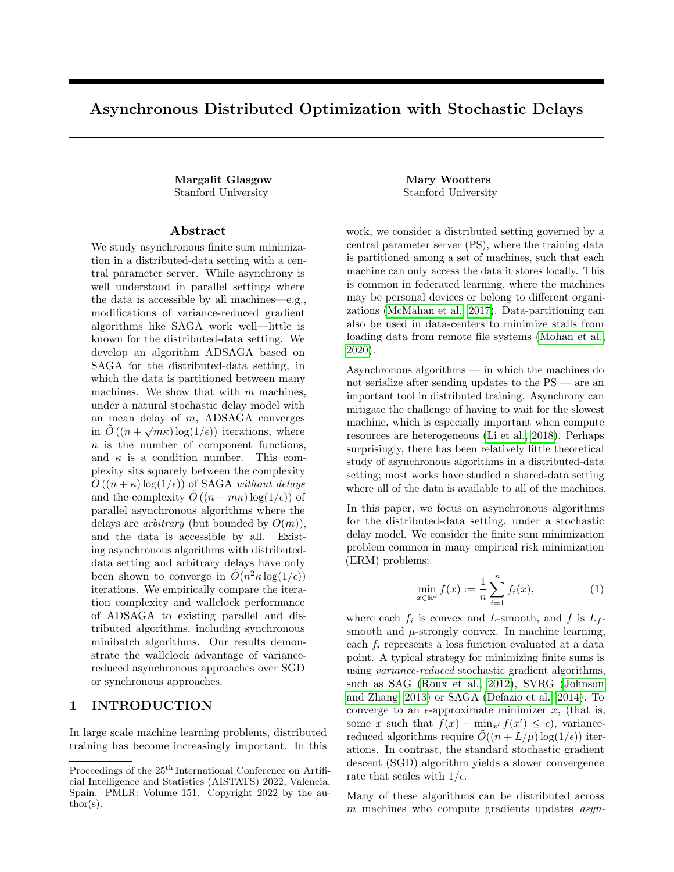# Asynchronous Distributed Optimization with Stochastic Delays

Margalit Glasgow Mary Wootters Stanford University Stanford University

#### Abstract

We study asynchronous finite sum minimization in a distributed-data setting with a central parameter server. While asynchrony is well understood in parallel settings where the data is accessible by all machines—e.g., modifications of variance-reduced gradient algorithms like SAGA work well—little is known for the distributed-data setting. We develop an algorithm ADSAGA based on SAGA for the distributed-data setting, in which the data is partitioned between many machines. We show that with  $m$  machines, under a natural stochastic delay model with an mean delay of m, ADSAGA converges in  $\tilde{O}((n+\sqrt{m}\kappa)\log(1/\epsilon))$  iterations, where n is the number of component functions, and  $\kappa$  is a condition number. This complexity sits squarely between the complexity  $O((n + \kappa) \log(1/\epsilon))$  of SAGA without delays and the complexity  $\tilde{O}((n + m\kappa) \log(1/\epsilon))$  of parallel asynchronous algorithms where the delays are *arbitrary* (but bounded by  $O(m)$ ), and the data is accessible by all. Existing asynchronous algorithms with distributeddata setting and arbitrary delays have only been shown to converge in  $\tilde{O}(n^2 \kappa \log(1/\epsilon))$ iterations. We empirically compare the iteration complexity and wallclock performance of ADSAGA to existing parallel and distributed algorithms, including synchronous minibatch algorithms. Our results demonstrate the wallclock advantage of variancereduced asynchronous approaches over SGD or synchronous approaches.

## 1 INTRODUCTION

In large scale machine learning problems, distributed training has become increasingly important. In this

work, we consider a distributed setting governed by a central parameter server (PS), where the training data is partitioned among a set of machines, such that each machine can only access the data it stores locally. This is common in federated learning, where the machines may be personal devices or belong to different organizations (McMahan et al., 2017). Data-partitioning can also be used in data-centers to minimize stalls from loading data from remote file systems (Mohan et al., 2020).

Asynchronous algorithms — in which the machines do not serialize after sending updates to the PS — are an important tool in distributed training. Asynchrony can mitigate the challenge of having to wait for the slowest machine, which is especially important when compute resources are heterogeneous (Li et al., 2018). Perhaps surprisingly, there has been relatively little theoretical study of asynchronous algorithms in a distributed-data setting; most works have studied a shared-data setting where all of the data is available to all of the machines.

In this paper, we focus on asynchronous algorithms for the distributed-data setting, under a stochastic delay model. We consider the finite sum minimization problem common in many empirical risk minimization (ERM) problems:

$$
\min_{x \in \mathbb{R}^d} f(x) := \frac{1}{n} \sum_{i=1}^n f_i(x),\tag{1}
$$

where each  $f_i$  is convex and L-smooth, and f is  $L_f$ smooth and  $\mu$ -strongly convex. In machine learning, each  $f_i$  represents a loss function evaluated at a data point. A typical strategy for minimizing finite sums is using variance-reduced stochastic gradient algorithms, such as SAG (Roux et al., 2012), SVRG (Johnson and Zhang, 2013) or SAGA (Defazio et al., 2014). To converge to an  $\epsilon$ -approximate minimizer x, (that is, some x such that  $f(x) - \min_{x'} f(x') \leq \epsilon$ , variancereduced algorithms require  $\tilde{O}((n + L/\mu) \log(1/\epsilon))$  iterations. In contrast, the standard stochastic gradient descent (SGD) algorithm yields a slower convergence rate that scales with  $1/\epsilon$ .

Many of these algorithms can be distributed across m machines who compute gradients updates *asyn*-

Proceedings of the  $25^{\text{th}}$  International Conference on Artificial Intelligence and Statistics (AISTATS) 2022, Valencia, Spain. PMLR: Volume 151. Copyright 2022 by the au- $\text{thor}(s)$ .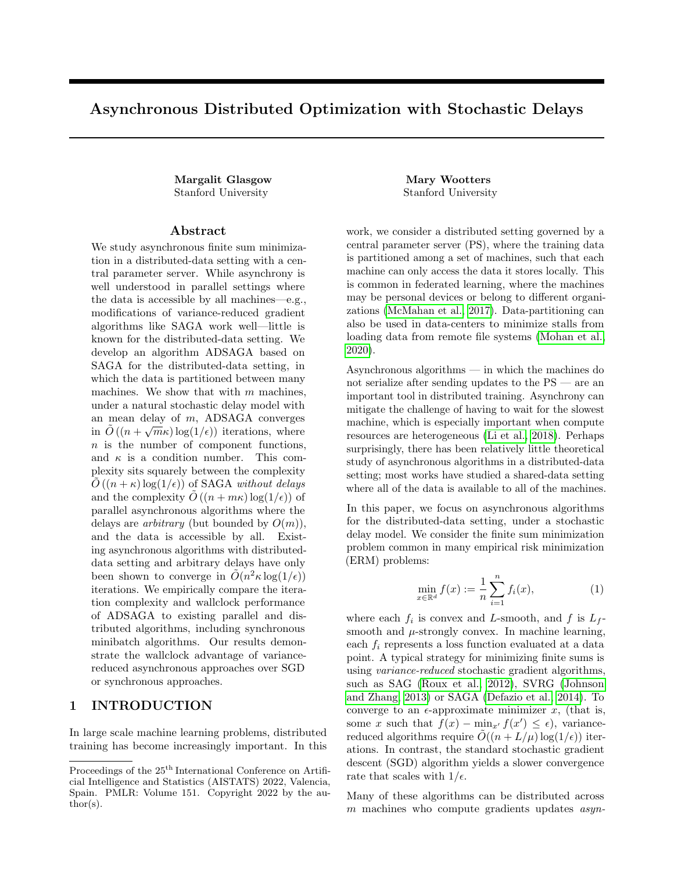

Figure 1: Settings for parallel optimization. (a) Shared-data setting, where ASAGA pertains (Leblond et al., 2018). (b) Distributed-data setting, where our work (ADSAGA) pertains. (c) Decentralized setting, in which there are a variety of algorithms with weaker guarantees.

chronously. In such implementations, a gradient step is performed on the  $k$ 'th central iterate  $x^k$  as soon as a single machine completes its computation. Hence, the gradient updates performed at the PS may come from delayed gradients computed at stale copies of the parameter x. We denote this stale copy by  $x^{k-\tau(k)}$ , meaning that it is  $\tau(k)$  iterations old. That is, at iteration  $k$ , the PS performs the update

$$
x^{k+1} = x^k - \eta U(i_k, x^{k-\tau(k)}),
$$

where  $\eta$  is the learning rate, and  $U(i_k, x^{k-\tau(k)})$  is an update computed from the gradient  $\nabla f_{i_k}(x^{k-\tau(k)})$ . For example, in SGD, we would have  $U(i, x) = \nabla f_i(x)$ . In the SAGA algorithm — which forms the backbone of the algorithm we propose and analyze in this paper the update used is

$$
U(i, x) := \nabla f_i(x) - \alpha_i + \overline{\alpha}, \tag{2}
$$

where  $\alpha_i$  is the prior gradient computed of  $f_i$ , and  $\overline{\alpha}$ denotes the average  $\frac{1}{n} \sum_i \alpha_i$ .<sup>1</sup>

There has been a great deal of work analyzing asynchronous algorithms in settings where the data is shared (or "i.i.d."), where any machine can access any of the data at any time, as in Figure  $1(a)$ . In particular, the asynchronous implementation of SAGA with shared data, called ASAGA (Leblond et al., 2018) is shown to converge in  $O((n + \tau_{max}L/\mu)\log(1/\epsilon))$  iterations, under arbitrary delays that are bounded by  $\tau_{max}$ . Other variance-reduced algorithms obtain similar results (Mania et al., 2015; Zhao and Li, 2016; Reddi et al., 2015; Zhou et al., 2018).

A key point in the analysis of asynchronous algorithms in the shared-data setting is the independence of the delay  $\tau(k)$  at step k and the function  $f_{i_k}$  that is chosen at time k. This leads to an unbiased gradient condition, namely that the expected update is proportional to  $\nabla f(x^{k-\tau(k)})$ . This condition is central to the analyses of these algorithms. However, in the distributed-data (or "non-i.i.d.") setting, where each machine only has access to the partition of data is stores locally (Figure 1(b)), this condition does not naturally hold. For example, if the only assumption on the delays is that they are bounded, then using the standard SGD update  $U(i, x) = \nabla f_i(x)$  may not even yield asymptotic convergence to  $x^*$ .

Due to this difficulty, the asynchronous landscape is far less understood when the data is distributed. Several works (Gurbuzbalaban et al., 2017; Vanli et al., 2018; Aytekin et al., 2016) analyze an asynchronous incremental aggregation gradient (IAG) algorithm, which can be applied to the distributed setting; those works prove that with arbitrary delays, IAG converges deterministically in  $\tilde{O}(\frac{n^2 L}{\mu} \log(1/\epsilon))$  iterations, significantly slower than the results available for the shared data model. The work of Xie et al. (2019) studies an asynchronous setting with distributed data and arbitrary delays and achieves an iteration complexity scaling polynomially with  $1/\epsilon$ . A line of work that considers a completely decentralized architecture without a PS (see Figure  $1(c)$ ) generalizes the distributed data PS setting of Figure 1(b). In this regime, with stochastic delays, Lian et al. (2018) established sublinear convergence rates of  $\tilde{O}(L^2/\epsilon^2)$  using an SGD update; however variance-reduced algorithms, which could yield linear convergence rates (scaling with  $log(1/\epsilon)$ ) for finite sums, have not been studied in this setting.With arbitrary but bounded delays and strongly convex objectives, Tian et al. (2020) and Niwa et al. (2021) achieved a linear rate of convergence gradient tracking techniques; however their results depend exponentially on m.

We introduce the *ADSAGA algorithm*, a variant of SAGA designed for the distributed data setting (Figure  $1(b)$ ). For our analysis, we adopt the stochastic delay model from Lian et al. (2018) from the decen-

<sup>&</sup>lt;sup>1</sup>This update is variance-reduced because it is an unbiased estimator of the gradient  $\Gamma f(x)$ , and unlike the SGD update, its variance tends to  $0$  as  $x$  approaches the optimum of the objective (1).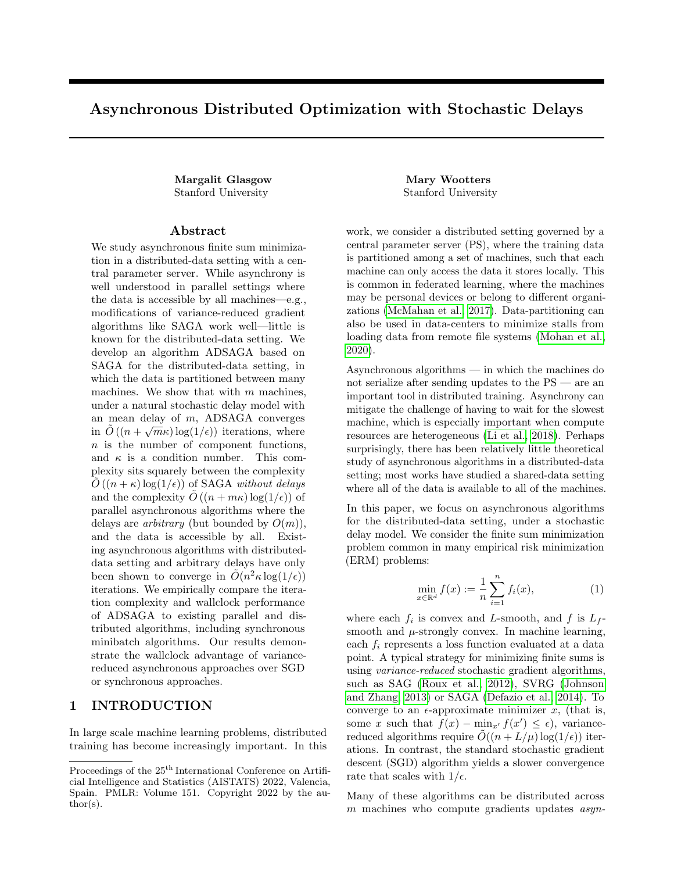tralized setting (Figure  $1(c)$ ), formalized below; this model is well-motivated (see Section 1.1), and allows us to prove strong convergence results despite the lack of independence between the data and the delays.

In this model, we show that ADSAGA converges in  $\tilde{O}((n+L/\mu+\sqrt{mL_fL}/\mu)\log(1/\epsilon))$  iterations. To the best of our knowledge, this is the first provable result for asynchronous algorithms in the distributeddata setting — under any delay model — that scales both logarithmically in  $1/\epsilon$  and linearly in n. Moreover, our empirical results suggest that ADSAGA outperforms other distributed-data algorithms even when the delay distribution differs from our model.

### 1.1 Our Model and Assumptions

Assumptions on the functions  $f_i$ . We study the finite-sum minimization problem (1). As is standard in the literature on synchronous finite sum minimization (e.g. (Defazio et al., 2014; Leblond et al., 2018; Gazagnadou et al., 2019; Needell et al., 2014)), we assume that the functions  $f_i$  are convex and L-smooth:

$$
|\nabla f_i(x) - \nabla f_i(y)|_2 \le L|x - y|_2 \quad \forall x, y, i,
$$

and we similarly assume that the objective f is  $L_f$ smooth. We further assume that  $f$  is  $\mu$ -strongly convex:

$$
\langle \nabla f(x) - \nabla f(y), x - y \rangle \ge \mu |x - y|_2^2 \quad \forall x, y.
$$

Note that  $L_f \leq L$ , as f is an average of the  $f_i$ .

Distribution of the data. We assume the distributed-data model in Figure 1(b). The functions  $f_1, \ldots, f_n$  are partitioned among the m machines into sets  $\{S_j\}_{j\in[m]}$ , such that each machine j has access to f, for  $j \in S$ , 2  $f_i$  for  $i \in S_j$ .

Communication and delay model. The  $m$  machines are governed by a centralized PS. At timestep k, the PS holds an iterate  $x^k$ . We consider the following model for asynchronous interaction. Let  $\mathcal{P} = (p_1, \ldots, p_m)$  denote a probability distribution on the  $m$  machines. Each machine  $j$  holds a (possibly stale) iterate  $x_i$ . At timestep k, a random machine j is chosen with probability  $p_j$ . This machine j sends an update  $h_j$  to the PS, based on  $x_j$  and the data it holds (that is, the functions  $f_i$  for  $i \in S_j$ ). The PS sends machine  $j$  the current iterate, and machine  $j$ updates  $x_j \leftarrow x^k$ . Then the PS performs an update based on  $h_j$  to obtain  $x^{k+1}$ , the iterate for step  $k+1$ . Then the process repeats, and a new machine is chosen independently from the distribution  $(p_1, \ldots, p_m)$ .

Remark 1.1 (Relationship to prior delay models). Random delay models have been studied more generally in decentralized asynchronous settings (Lian et al., 2018; Ram et al., 2010; Jin et al., 2016) where they are often referred to as "random gossip". In a random gossip model, each machine has an exponentially distributed clock and wakes up to communicate an update with its neighbors each time it ticks.

Our model is essentially the same as the random gossip model, restricted to a centralized communication graph, as in Jin et al. (2016). That is, our discrete delay model arises from a continuous-time model where each machine j takes  $T_i$  time to compute its update, where  $T_i$  is a random variable distributed according to an exponential distribution with parameter  $\lambda_i$ . After  $T_i$ time, machine j sends its update to the PS and receives an updated iterate  $x_j \leftarrow x^k$ . Then it draws a new (independent) work time  $T_j$  and repeats. The machines have independent work times but possibly different rates  $\lambda_i$ . Due to the memorylessness of exponential random variables, this continuous-time model is equivalent to the discrete-time model described above.

Similarly, our model generalizes the geometric delay model in (Mitliagkas et al., 2016) for centralized asynchronous gradient descent, which is the special case where the  $\lambda_i$ 's are all the same.

We note that in our model, the PS has knowledge of the values  $p_i$ , and we use this in our algorithm. In practice, these rates can be estimated from the ratio between the number of updates from the machine  $i$  and the total number of iterations. Our empirical results also show that our approach performs well even an a vanilla implementation where the PS does not need to know the  $p_i$ .

Stochastic delays are well-motivated by applications. In the data-center setting, stochasticity in machine performance — and in particular, heavy tails in compute times — is well-documented (Dean and Barroso, 2013). Because we allow for the  $p_i$ 's to be distinct for each machine, our model is well-suited to the example of federated learning, where we expect machines to have heterogeneous delays. Our particular model for stochastic delays is natural because it fits into the framework of randomized gossip and arises from independent exponentially distributed work times; however, we believe a more general model for stochastic delays could be more practical and merits further study.

Remark 1.2 (Blocking data). In our model, a machine sends an update computed from a single  $f_i$  in each round. In a practical implementation, we could block the data into blocks  $B_\ell$  of size b, such that each machine computes b gradients before communicating with the PS. To apply our result, the set of functions

<sup>&</sup>lt;sup>2</sup>We assume that all sets  $S_i$  have the same size, though if  $m$  does not divide  $n$ , we can reduce  $n$  until this is the case by combining pairs of functions to become one function.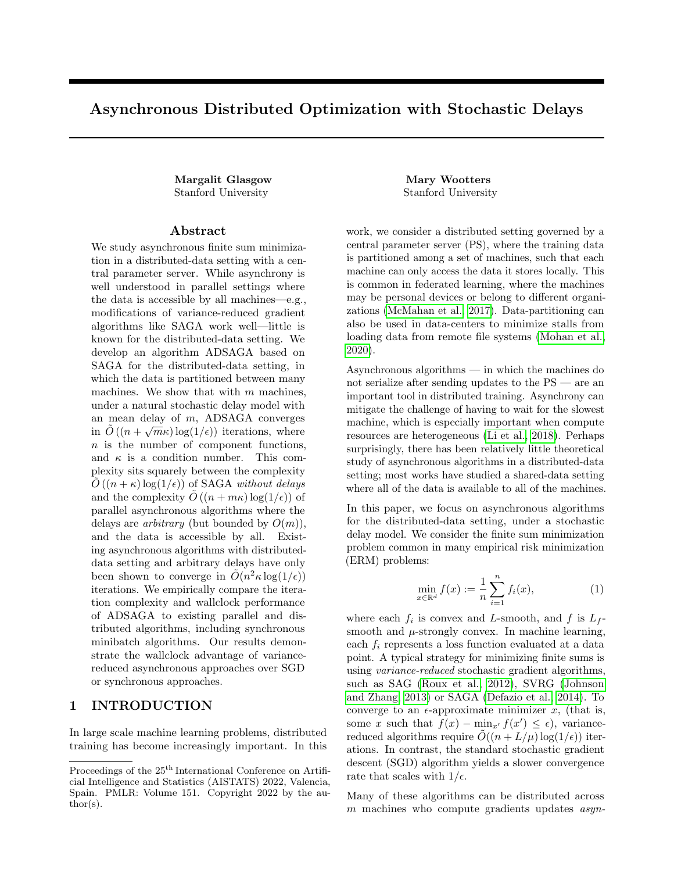Table 1: Comparison of related work for minimization of finite sums of n convex and L-smooth functions, whose average is  $\mu$ -strongly convex and  $L_f$ -smooth. Here m denotes the number of machines or the minibatch size. We have substituted  $O(m)$  for the maximum overlap bound  $\tau$  in Leblond et al. (2018); Zhou et al. (2018), which is at least m, and  $O(n)$  for the delay bound in IAG, which is as least n. We note that, as per Remark 1.1, our stochastic model is essentially a restriction of randomized gossip to a centralized communication graph.

| Algorithm                                              | Data Location              | Delay Model                                                               | Convergence Guar-<br>antee | Iteration Complexity                                                         |
|--------------------------------------------------------|----------------------------|---------------------------------------------------------------------------|----------------------------|------------------------------------------------------------------------------|
| This<br>work<br>(ADSAGA,<br>Theorem B.1)               | Distributed                | Stochastic, $p_i =$<br>$\Theta(\frac{1}{m})$ 8j (See Sec-<br>tion $1.1$ ) | $E[f(X_k) \quad f(X^*)]$   | $\overline{\tilde{O}((n+\frac{L}{2}+\frac{P_{mLfL}}{mLf})\log(1-\epsilon))}$ |
| ASAGA, MiG                                             | Shared                     | Arbitrary, bounded                                                        | $E[f(x_k) \quad f(x^*)]$   | $\left(n+\frac{mL}{2}\right)\log(1-\frac{mL}{2})$<br>$\mathcal{O}$           |
| IAG                                                    | Distributed                | Arbitrary, bounded                                                        | $f(x_k)$<br>$f(x^*)$       | $\sqrt{\frac{n^2L}{}}\log(1=1)$<br>O                                         |
| Decentralized<br>SGD (Lian<br>et al., 2018)            | Distributed                | Random Gossip (see<br>Remark $1.1$ )                                      | $E[f(x_k) \quad f(x^*)]$   | $\tilde{O}(\frac{L^2}{2})$                                                   |
| FedAsync (Xie<br>et al., 2019)                         | Distributed                | Arbitrary, bounded                                                        | $E[f(X_k) \quad f(X^*)]$   | $\tilde{O}(\frac{L^2}{2})$                                                   |
| Minibatch<br>SAGA (see<br>supplemen-<br>tary material) | Shared or Dis-<br>tributed | (No)<br>Synchronous<br>Delays)                                            | $E/x^{k}$ $x^*\frac{2}{2}$ | $\tilde{O}(\left(n+\frac{L}{2}+\frac{mL_f}{2}\right)\log(1-\epsilon))$       |

 $\{f_i\}_i$  is replaced with  $\{\sum_{i \in B_\ell} f_i\}_\ell$ , yielding an iteration complexity of  $\tilde{O}(n + bL/\mu + b\sqrt{mL_fL/\mu}).$ 

## 1.2 Contributions

Our main technical contribution is the development and analysis of a SAGA-like algorithm, which we call ADSAGA, in the model described in Section 1.1. We show that with m machines, for  $\mu$ -strongly convex,  $L_f$ smooth functions f with minimizer  $x^*$ , when each  $f_i$ is convex and L-smooth, ADSAGA achieves  $E[f(x_k)]$  $f(x^*)$   $\leq$   $\epsilon$  in

$$
k = \tilde{O}\left(\frac{1}{mp_{\min}}\left(n + \frac{L}{\mu} + \frac{\sqrt{mL_f L}}{\mu}\right)\log(1/\epsilon)\right) (3)
$$

iterations, where  $p_{\min} = \min(p_i)$  is the minimum update rate parameter. Standard sequential SAGA achieves the same convergence in  $O\left((n+\frac{L}{\mu})\log(1/\epsilon)\right)$ iterations. This implies that when the machine update rates vary by no more than a constant factor, if the term  $n + L/\mu$  in our iteration complexity (3) dominates the final term  $\sqrt{mL_fL/\mu}$ , the ADSAGA with stochastic delays achieves the same iteration complexity as SAGA with no delays. On the other hand, when the  $\sqrt{mL_fL/\mu}$  term dominates in (3), the convergence rate of ADSAGA scales with the square root of the number of machines, or average delay. We provide a quantitative comparison to related works in Table 1.

Remarkably, due to this  $\sqrt{m}$  dependence, the conver-

gence rate in  $(3)$  is dramatically *faster* than the rates proved for ASAGA (the analog in the shared-data setting with arbitrary delays), which as discussed above is at best  $O(n + \frac{Lm}{\mu}),^3$  or even the rate of synchronous minibatch SAGA, which is  $\tilde{O}(n + \frac{L}{\mu} + \frac{mL_f}{\mu})$ . This is possible because of the stochastic delay model. Due to the occasional occurrence of very short delays (e.g., a machine  $j$  is drawn twice in quick succession), after the same number of iterations, the parallel depth of ADSAGA in our model is far deeper than that of a synchronous minibatch algorithm or than some instantiations of ASAGA with bounded delays. As evidenced by standard lower bounds in optimization, a high parallel depth is a prerequisite for convergence (Nesterov et al., 2018). For instance, with arbitrary bounded delays, the complexity would scale at least linearly with m due to the lower-bound zero-chain techniques. We believe this intuition and our result suggests optimistic news for asynchronous algorithms under more general stochastic delays: the iteration complexity may improve if the delays vary greatly, and are occasionally short.

The proof of our result uses a novel potential function to track our progress towards the optimum. In addition to including typical terms such as  $f(x_k) - f(x^*)$  and  $|x_k - x^*|_2^2$ , our potential function includes a quadratic term that takes into account the dot product of  $x_k - x^*$ and the expected next stale gradient update. This

<sup>3</sup>Note that, in ASAGA, the convergence rate scales with the maximum delay  $_{max}$ , which is lower bounded by  $m$ .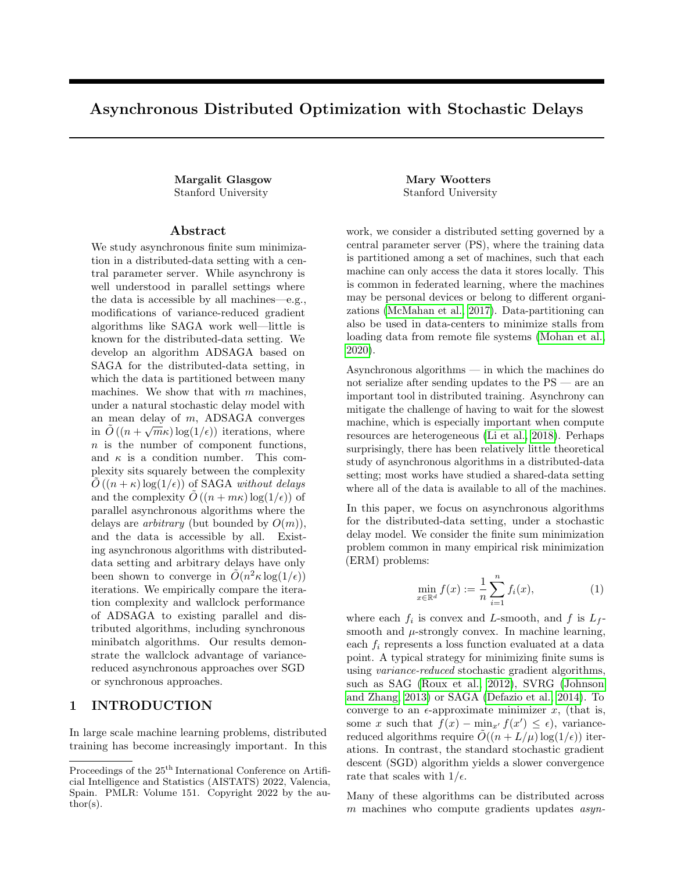quadratic term is similar to the one that appears in the potential analysis of SAG(Roux et al., 2012) and in Assran and Rabbat (2020). Key to our analysis is a new unbiased trajectory lemma, which states that in expectation, the expected stale update moves towards the true gradient.

We support our theoretical claims with numerical experiments. In our first set of experiments, we simulate ADSAGA as well as other algorithms in the model of Section 1.1, and show that ADSAGA achieves better iteration complexity than other algorithms that have been analyzed in the distributed-data setting (IAG, SGD). These observations extend to a broader and more realistic shifted exponential delay model, proposed in Lee et al. (2017b). In our second set of experiments, we implement ADSAGA and other state-ofthe-art distributed algorithms in a distributed compute cluster. We observe that in terms of wallclock time, ADSAGA performs similarly to IAG, and both of these asynchronous algorithms are over 60% faster with 30 machines than the synchronous alternatives (minibatch-SAGA and minibatch-SGD) or asynchronous SGD.

We refer the reader to Appendix A for an extended discussion of related work; see also the survey of Assran et al. (2020).

Remark 1.3 (Extensions to non-strongly convex objectives, and acceleration). We remark that the AdaptReg reduction in Allen-Zhu and Hazan (2016) can be applied to ADSAGA to extend our result to non-strongly convex objectives f. In this case, the convergence rate becomes  $\tilde{O}(n+L/\epsilon+\sqrt{mL_fL}/\epsilon)$ . Further, applying the black-box acceleration reduction in Lin et al. (2015) or Frostig et al. (2015) yields a convergence rate of  $\tilde{O}(n + \sqrt{nL/\mu} + \sqrt{n\sqrt{mL_fL}/\mu})$ . Both of the reductions use an outer loop around ADSAGA which requires breaking the asynchrony to serialize every  $\Omega(n)$  iterations. We expect that using the outer loops without serializing would yield the same results.

# 2 THE ADSAGA ALGORITHM

In this section, we describe the algorithm ADSAGA, a variant of SAGA designed for an the asynchronous, distributed data setting. Each machine maintains a local copy of the iterate x, which we denote  $x_i$ , and also stores a vector  $\alpha_i$  for each  $i \in S_i$ , which contains the last gradient of  $f_i$  computed at machine j and sent to the PS. The PS stores the current iterate  $x$  and maintains the average  $\bar{\alpha}$  of the  $\alpha_i$ . Additionally, to handle the case of heterogeneous update rates, the PS maintains a variable  $u_i$  for each machine, which stores a weighted history of updates from machine j.

We describe the algorithm formally in Algorithm 1.

At a high level, each machine j chooses a function  $f_i$ randomly in  $S_j$ , and computes the variance-reduced stochastic gradient  $h_j := \nabla f_i(x_j) - \alpha_i$ , that is, the gradient of  $f_i$  at the current local iterate minus the prior gradient this machine computed for  $f_i$ . Meanwhile, upon receiving this vector  $h_i$  at the PS, the PS takes a gradient step in roughly the direction  $h_j + \overline{\alpha}$ .

If the machine update rates  $p_j$  are equal,  $u_j = h_j$ always, so our algorithm is precisely an asynchronous implementation of the SAGA algorithm with delays. In our experiments, we implement this as a "Vanilla" version of ADSAGA. This is shown in Algorithm 2. The reader may wish to look at Algorithm 2 first, before looking at the more complicated Algorithm 1.

If the machine update rates  $p_j$  are heterogeneous, our algorithm differs in two ways from the vanilla algorithm. First, we use machine-specific step sizes  $\eta_i$  which scale inversely with the machine's update rate,  $p_i$ . Intuitively, this compensates for less frequent updates with larger weights for those updates. Second, we use the variables  $u_i$  so that the trajectory of the expected update to x tends towards the full gradient  $\nabla f(x)$  (see Lemma 3.3).

We provide a logical view of ADSAGA (in the delay model described in Section 1.1) in Algorithm 3. We emphasize that Algorithm 1 is equivalent to Algorithm 3 given our stochastic delay model; we introduce Algorithm 3 only to aid the analysis. In the logical view, each logical iteration tracks the steps performed by the PS when  $h_j$  is sent to the PS from some machine  $j$ , followed by the steps performed by the machine  $j$ upon receiving the iterate  $x$  in return. We choose this sequence for a logical iteration because it implies that iterate  $x_j$  used to compute the local gradient in step  $M.2$  equals the iterate x from the PS. Because the variable  $u_j$  is only modified in iterations which concern machine  $j$ , we are able to move step PS.2 to later in the logical iteration; this eases the analysis. For similar reasons, we move the step M.3 which updates  $\alpha_i$  to the start of the logical iteration.

To make notation clearer for the analysis, in Algorithm 3, we index the central parameter with a superscript of the iteration counter  $k$ . Note that in this algorithm, we also introduce the auxiliary variables  $g_i, \beta_i$  and  $i_j$  to aid with the analysis. The variable  $i_j$ tracks the index of the function used to compute the update  $h_j$  at machine  $j, g_j := \nabla_i(x_j)$ , and  $\beta_j := \alpha_{i_j}$ .

# 3 CONVERGENCE RESULT AND PROOF OVERVIEW

In this section, we state our main result and sketch the proof. We use  $O$ -notation to hide logarithmic factors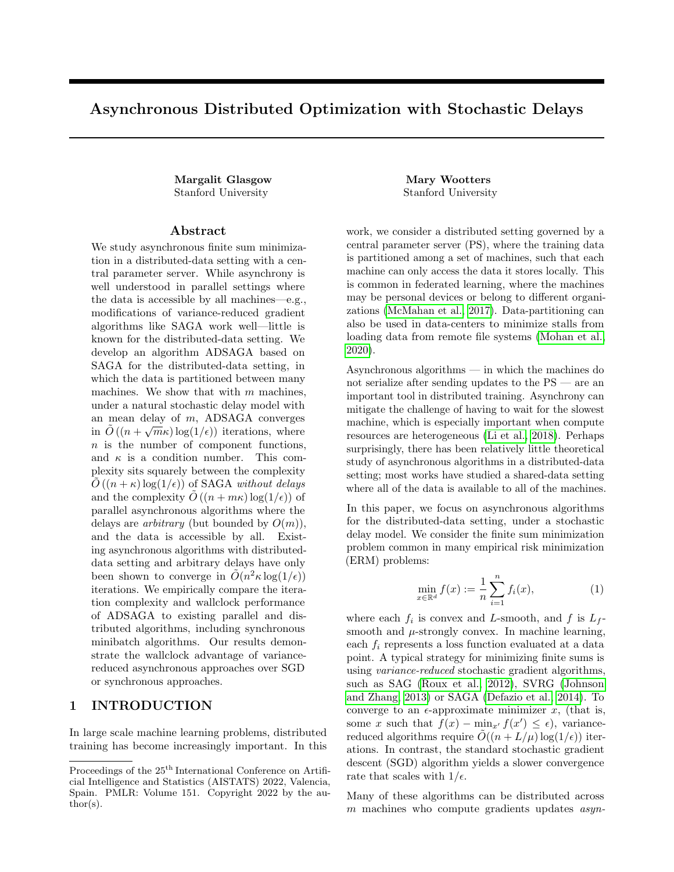Algorithm 1 Asynchronous Distributed SAGA (ADSAGA)

**Process** PARAMETER SERVER $(\eta, \{p_i\}, x^{(0)}, t)$ :  $u_j = 0$  for  $j \in [m]$  . Initialize update variables  $\overline{\alpha} = 0$  . Initialize last gradient averages repeat C.1) Receive  $h_i$  from machine j C.2) Send  $x$  to machine  $j$  $\text{PS.1)}\,\, u_j \leftarrow u_j \left(1 - \frac{p_{\text{min}}}{p_j}\right) + h_j \quad \text{. First update to}$ uj PS.2)  $x \leftarrow x - \eta_i (u_i + \overline{\alpha})$ . Apply stale gradient update using step size  $j = \frac{p_{\min}}{p_j}$ PS.3)  $\overline{\alpha} \leftarrow \overline{\alpha} + \frac{1}{n} h_j$  . Update gradient averages PS.4)  $u_j \leftarrow u_j - \frac{m}{n} h_j$  . Second update to  $u_j$ until  $t$  iterations have passed Return x

**Process** WORKER MACHINE $(\{f_i\}_{i\in S_j}, x_j)$ :  $h_j = 0$  for  $j \in [m]$  . Initialize updates

 $\alpha_i = 0$  for  $i \in [n]$  . Initialize last gradients repeat C.1) Send  $h_i$  to PS  $C.2$ ) Receive current iterate x from PS and set  $x_i \leftarrow x$ M.1)  $i \sim$  Uniform $(S_j)$ . Choose a random function M.2)  $g_j \leftarrow \nabla f_i(x_j)$  . Compute the gradient of  $f_i$ M.3)  $h_i \leftarrow g_i - \alpha_i$ . Reduce variance by subtracting last time's  $\varGamma\,f_i$ M.3)  $\alpha_i \leftarrow g_j$  . Update last gradient locally until terminated by PS

in *n* or in constants depending on the functions  $f_i$ . Logarithmic factors are standard for algorithms that use a constant step size, though we expect they could be removed by using a decreasing step size.

**Theorem 3.1.** Let  $f(x) = \frac{1}{n} \sum_{i=1}^{n} f_i(x)$  be an  $L_f$ . smooth and  $\mu$ -strongly convex function. Suppose that each  $f_i$  is L-smooth and convex. Let  $r :=$ 8 76+168  $\frac{p_{max}}{p_{min}}$   $\frac{2}{n}$ 

 $\frac{P_{\text{min}}}{3}$ . For any partition of the n functions to m machines, after

$$
k = \frac{1}{mp_{min}} \left( 4n + 2r \frac{L}{\mu} + 2\sqrt{r} \frac{\sqrt{mL_f L}}{\mu} \right)
$$

$$
\times \log \left( \frac{\left( 1 + \frac{1}{2m\mu\eta} \right) \left( f(x^0) - f(x^*) \right) + \frac{n\sigma^2}{2L}}{\epsilon} \right)
$$

iterations of Algorithm 1 at the PS with  $\eta$  =  $\frac{1}{2rL+2\sqrt{rmL_fL}}$ , we have  $E\left[f(x^k) - f(x^*)\right] \leq \epsilon$ , where  $\sigma^2 = \frac{1}{n} \sum_i |\nabla f_i(x^*)|_2^2.$ 

Algorithm 2 Vanilla ADSAGA (all  $p_i$  equal)

**Process** PARAMETER SERVER $(\eta, x^{(0)}, t)$ :  $\overline{\alpha} = 0$  . Initialize last gradient averages repeat C.1) Receive  $h_j$  from machine j C.2) Send  $x$  to machine  $j$ PS.1)  $x \leftarrow x - \eta (h_i + \overline{\alpha})$ . Apply stale gradient update PS.2)  $\overline{\alpha} \leftarrow \overline{\alpha} + \frac{1}{n} h_j$  . Update gradient averages until  $t$  iterations have passed Return x

**Process** WORKER MACHINE $(\{f_i\}_{i\in S_j}, x_j)$ : . Identical to Worker Machine in Algorithm 1

Theorem 3.1 yields a convergence rate of  $\tilde{O}\left(\left(n+\frac{L}{\mu}+\right.\right.$  $\sqrt{mL_{f}L}$  $\mu$  $\log(1/\epsilon)$  when  $p_j = \Theta\left(\frac{1}{m}\right)$ for all  $j$ , that is, all machines perform updates with the same frequency up to a constant factor.

The proof of Theorem 3.1 can be found in the supplementary material. The key elements of our proof are a new Unbiased Trajectory Lemma (Lemma 3.3) and a novel potential function which captures progress both in the iterate  $x$  and in the stale gradients.

We begin by introducing some notation which will be used in defining the potential function. We use  $I_d$  to denote the identity matrix in  $\mathbb{R}^{d \times d}$ , and **1** to denote the all-ones vector. Let  $H$ ,  $G$ , and  $U$  be the matrices whose jth columns contain the vectors  $h_j = g_j - \beta_j$ ,  $g_j$ , and  $u_i$  respectively. We use the superscript k to denote the value of any variable from Algorithm 1 at the beginning of iteration  $k$  (at the PS). When the iteration  $k$  is clear from context, we will eliminate the superscripts  $k$ . To further simplify, we will use the following definitions:  $\alpha_i^* := \alpha_i - \nabla f_i(x^*), \ \beta_j^* := \beta_j - \nabla f_{i_j}(x^*), \text{ and } g_j^* :=$  $g_j - \nabla f_{i_j}(x^*)$ , where  $i_j$  is the index of the function used by machine j to compute  $g_j$  and  $\beta_j$ , as above.

We will analyze the expectation of the following potential function  $\phi(x, G, H, U, \alpha, \beta)$ :

$$
\phi(x, G, H, U, \alpha, \beta) := \sum_{\ell} \phi_{\ell}(x, G, H, U, \alpha, \beta),
$$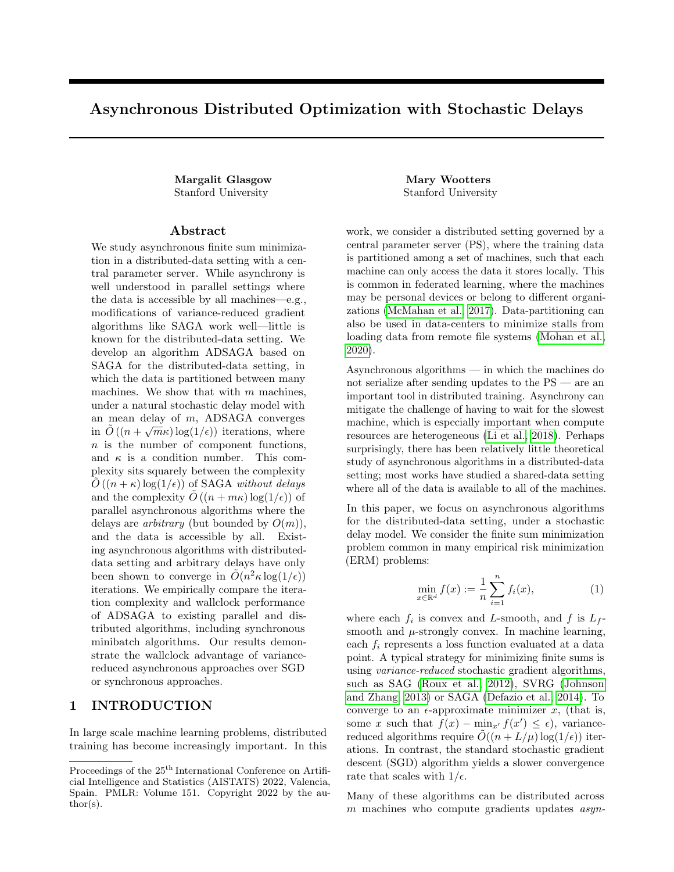(ADSAGA): Logical View, in the model in Section 1.1  $\textbf{Input:}~~x^0, \eta, \{f_i\}, \{S_j\}, \mathcal{P}, t$  $g_j, h_j, u_j, \beta_j = 0$  for  $j \in [m]$ . Initialize variables to 0  $i_j \sim \text{Uniform}(S_j)$  for  $j \in [m]$ . Initialize last gradient indicators  $\alpha_i = 0$  for  $i \in [n]$  . Initialize last gradients  $\overline{\alpha} = 0$  . Initialize last gradient averages at PS for  $k = 0$  to t do  $j \sim \mathcal{P};$  . Choose machine j with probability  $p_j$ M.3)  $\alpha_{i_j} \leftarrow g_j$  . Update last gradient locally PS.2)  $x^{k+1} \leftarrow x^k - \eta_j (u_j + \overline{\alpha})$ . Take gradient step using  $j = \frac{p_{\min}}{p_j}$ PS.3)  $\overline{\alpha} \leftarrow \overline{\alpha} + \frac{1}{n} h_j$ . Update gradient averages at PS PS.4)  $u_j \leftarrow u_j - \frac{m}{n}$ . First update to  $U_j$ M.1)  $i \sim$  Uniform $(S_i)$ . Choose uniformly a random function at machine j  $g_j \leftarrow \nabla f_i(x^k)$ )  $\qquad$  . Update auxiliary variable  $g_j$  $\beta_j \leftarrow \alpha_i$  . Update auxiliary variable j M.2)  $h_i \leftarrow \nabla f_i(x_i) - \alpha_i$ . Prepare next update to be sent to PS  $\text{PS.1)}\,\, u_j \leftarrow u_j \left( 1 - \frac{p_{\sf min}}{p_j} \right) + \frac{p_{\sf min}}{p_j} h_j$ . Second update of  $U_j$  at PS; this could also be done locally  $i_j \leftarrow i$  . Update auxiliary variable  $i_j$ end for  ${\bf Return} \; x^t$ 

Algorithm 3 Asynchronous Distributed SAGA

where  $\phi_i = \phi_i(x, G, H, U, \alpha, \beta)$  are given by  $\phi_1 := 4m\eta \left( f(x) - f(x^*) \right),$  $\phi_2 := \begin{pmatrix} x - x^* \\ y(II + x) \end{pmatrix}$  $\eta(U\mathbf{1}+m\overline{\alpha})$  $\bigwedge^T \bigwedge I_d \quad -I_d$  $-I_d$  2 $I_d$  $\bigwedge$   $x - x^*$  $\eta(U\mathbf{1}+m\overline{\alpha})$  $\bigg),$  $\phi_3 := \eta^2 c_3 \sum$ j  $p_{\min}$  $\frac{\min}{p_j} |g^*_j|_2^2,$  $\phi_4 := \eta^2 c_4$  $\sqrt{ }$  $\left(2\sum\right)$ i  $p_{\min}$  $\frac{\min}{p_j}|\alpha^*_i|_2^2-\sum_i$ j  $p_{\min}$  $\frac{\min}{p_j}|\beta^*_j|_2^2$  $\setminus$  $\vert$ ,  $\phi_5:=\eta^2c_5\sum$ j  $|u_j|_2^2,$ 

The exact values of the constants  $c_3$ ,  $c_4$  and  $c_5$  are given in the supplementary material.

This potential function captures not only progress in  $f(x^k) - f(x^*)$  and  $|x^k - x^*|_2^2$ , but also the extent to which the expected stale update,  $\frac{1}{m}U\mathbf{1} + \overline{\alpha}$ , is oriented in the direction of  $x^k - x^*$ . While some steps of asynchronous gradient descent may take us in expectation further from the optimum, those steps will position us for later progress by better orienting  $\frac{1}{m}U\mathbf{1} + \overline{\alpha}$ . The exact coefficients in the potential function are chosen to cancel extraneous quantities that arise when evaluating the expected difference in potential between steps. In the rest of the text, we abbreviate the potential  $\phi(x^k, G^k, H^k, U^k, \alpha^k, \beta^k)$ , given by the variables at the start of the kth iteration, by  $\phi(k)$ . Below, in the expectations we implicitly condition on the history  $\{x^k, G^k, H^k, U^k, \alpha^k, \beta^k\}.$ 

The following is our main technical proposition.

Proposition 3.2. In ADSAGA, for any step size  $\eta \leq \frac{1}{2rL+2\sqrt{rmL_{f}L}}$ ,  $\mathbb{E}_{i,j}[\phi(k+1)] \leq (1-\gamma)\dot{\phi}(k)$ , where  $\gamma = mp_{min} \min \left( \frac{1}{4n}, \mu \eta \right)$ , and r is a constant defined in Theorem 3.1 dependent only on  $\frac{p_{\text{max}}}{p_{\text{min}}}.$ 

We sketch the proof of this proposition. For ease of presentation only, we assume that  $p_j = \Theta\left(\frac{1}{m}\right)$  for all j. The formal proof, which contains precise constants and the dependence on  $p_{\min}$ , is given in the supplementary material. We begin by stating the Unbiased Trajectory lemma, which shows that the expected update to  $x$ moves in expectation towards the gradient  $\nabla f(x)$ .

Lemma 3.3 (Unbiased Trajectory). At iteration k of ADSAGA at the PS,

$$
E_{i,j}[x^{k+1}] = x^k - \eta p_{\text{min}}(U^k \mathbf{1} + m\overline{\alpha}^k),
$$

and

$$
E_{i,j} [U^{k+1} \mathbf{1} + m\overline{\alpha}^{k+1}]
$$
  
=  $p_{min} \left(1 - \frac{1}{n}\right) (U^k \mathbf{1} + m\overline{\alpha}^k) + mp_{min} \nabla f(x^k).$ 

Essentially, the Unbiased Trajectory lemma states that, in expectation, the update approaches the "desired" update, which is proportional to  $\nabla f(x)$ . Using this condition, we can control the expected change in  $\phi_1+\phi_2$ . It turns out that the first-order terms of this contribution yield a significant decrease in the potential  $\phi$ . However, there are some second order terms, involving  $|\alpha_i^*|^2, |u_j|^2, |g_j^*|^2$ , and  $|\beta_j^*|^2$ , which go in the wrong direction and complicate matters. This is the reason for the terms  $\phi_3, \phi_4$ , and  $\phi_5$  in the potential function. We are able to choose the constants in those terms so that they exactly cancel the problematic second-order terms from  $\phi_1 + \phi_2$ . Combining all of this eventually yields Proposition 3.2.

## 4 EXPERIMENTS

We conduct experiments to compare the convergence rates of ADSAGA to other state-of-the-art algorithms: SGD, IAG, ASAGA, and minibatch SAGA. In our first set of experiments, we simulate the stochastic delay model of Section 1.1. In our second set, we implement these algorithms in a distributed compute cluster. The main takeaways of our experiments are the following: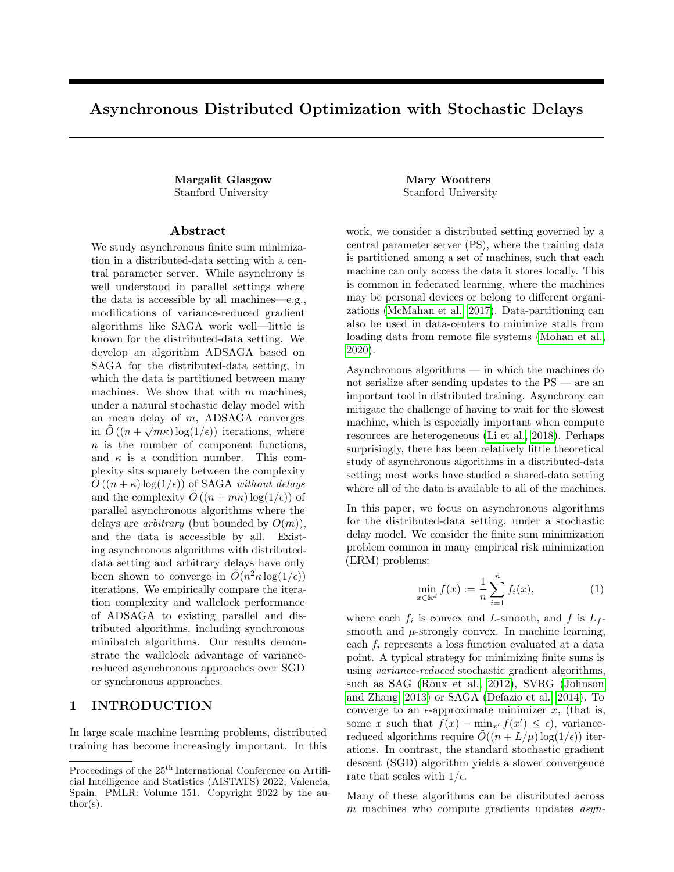

Figure 2: (a) Comparison of ADSAGA (this work), ASAGA (Leblond et al., 2018), minibatch SAGA (Gazagnadou et al., 2019), SGD (Lian et al., 2018), and IAG (Gurbuzbalaban et al., 2017): Iteration complexity to achieve  $|x_k - x^*|^2 \leq 0.1$ , averaged over 8 runs. (b) Comparison of IAG and ADSAGA with shifted-exponential delays for 60 machines. (c) The exponential update rates are resampled uniformly at random from [1, 10] with varying frequencies (given on x-axis).  $x = 0$  corresponds to no heterogeneity. Results shown for 60 nodes.

 $(a)$  (b)

Figure 3: (a) Convergence accuracy after 100 epochs on 20 machines. (b) Wallclock time to achieve  $|x_k - x^*|_2^2 \le$  $10^{-10}$ , averaged over 8 runs.

- 1. In experiments on a cluster, ADSAGA is comparable to IAG and outperforms all other algorithms in wall-clock time.
- 2. In experiments with simulated (shifted) exponential delays, ADSAGA outperforms IAG in iteration complexity.
- 3. ADSAGA performs well even without knowledge of the update rates  $\{p_j\}$ , even with significant machine heterogeneity.

Data. For all experiments, we simulate these algorithms on a randomly-generated least squares problem  $\min_{\hat{x}} |A\hat{x} - b|_2^2$ . Here  $A \in \mathbb{R}^{n \times d}$  is chosen randomly with i.i.d. rows from  $\mathcal{N}(0, \frac{1}{d}I_d)$ , and  $x \sim \mathcal{N}(0, I_d)$ . The observations  $b$  are noisy observations of the form  $b = Ax + Z$ , where  $Z \sim \mathcal{N}(0, \sigma^2 I_n)$ . In the first set of experiments with simulated delays, we choose  $n = 120$ ,

 $d = 60$ , and  $\sigma = 1$ . For the second set of experiments on the distributed cluster, we choose a larger 10GB least squares problem with  $n = 600000$  and  $d = 200000$ , and  $\sigma = 100$ .

Remark 4.1. We chose to perform our experiments on least squares problem to better understand how different algorithms were affected by the distributed-data setting, without introducing complexity that would be hard to interpret. Since performing asynchronous algorithm on a distributed cluster can already produce results that are difficult to reproduce, we choose a simple dataset to allow our experiments to be more consistent and interpretable.

Simulated Delays. In our first set of experiments, we empirically validate our results by simulating the stochastic delay model described in Section 1.1, and in a more general delay model. First we simulate ADSAGA, SGD, IAG in the distributed data setting in the delay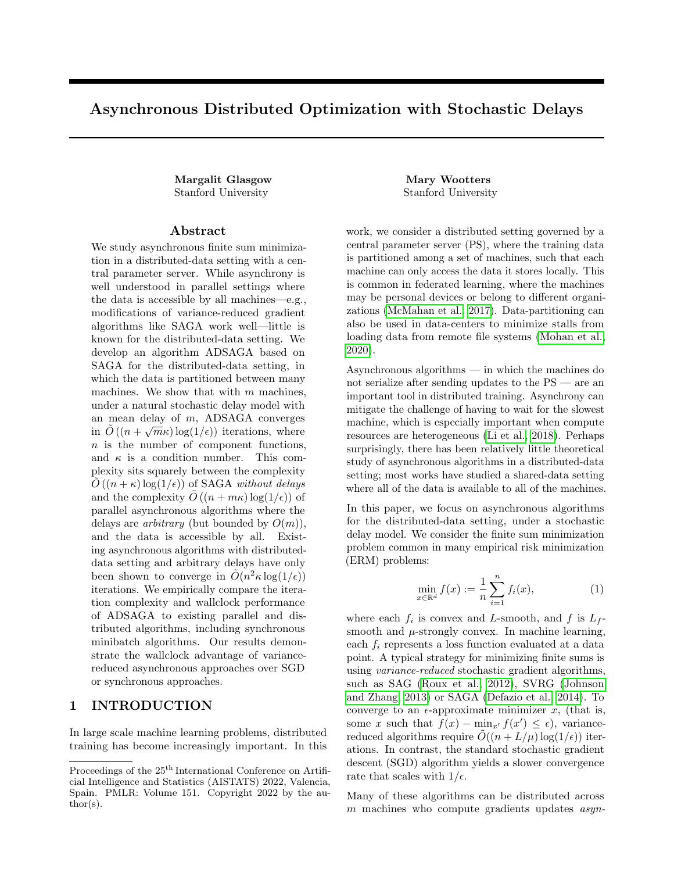model of Section 1.1 with all  $p_i$  equal; we simulate ASAGA in this model in the shared-data setting; and we also compare to minibatch SAGA assuming a syn $chromous$  implementation with a minibatch size  $m$  equal to the number of machines. We run all five algorithms on  $\hat{x}$  with m machines for  $m \in \{10, 20, 40, 60, 120\}$ . To be fair to all algorithms, we use a grid search to find the best step size in  $\{0.05 \times i\}_{i \in [40]}$ , observing that none of the best step sizes were at the boundary of this set.

In Figure 2, we plot expected iteration complexity to achieve  $|\hat{x} - x^*|_2^2 \le 0.1$ , where  $x^* := \min_{\hat{x}} |A\hat{x} - b|_2^2$ . Figure  $2(a)$  demonstrates that, in the model in Section 1.1, ADSAGA outperforms the other algorithms for distributed data, SGD and IAG, especially as the number of machines  $m$  grows. In a more practical setting with shifted-exponential delays (no longer memoryless, but still heavy-tailed), with 60 machines, ADSAGA still outperforms IAG (Figure 2(b)). Shifted exponential or heavy-tailed work-time distributions are observed in practice (Dean and Barroso (2013); Lee et al. (2017b)). In Figure  $2(c)$ , we simulate with time-varying delays. Here, the update rates are chosen to be exponentially distributed with heterogeneous parameters, chosen uniformly at random from [1, 10]. These parameters are resampled during training with varying frequencies.

Distributed Experiments. In our second set of experiments, we run the five data-distributed algorithms (ADSAGA, SGD, IAG, minibatch-SAGA, and minibatch-SGD) in a distributed compute cluster and compare their wallclock times to convergence.<sup>4</sup> In the three asynchronous algorithms, the PS waits to receive a gradient update from a node; sends the current parameter back to that node; and performs the appropriate update. In synchronous minibatch-SGD, the PS waits until updates have been received by all nodes before performing an update and sending the new parameter to all nodes. We run all algorithms with  $m$  worker nodes for  $m \in \{5, 10, 15, 20, 30\}$ . The supplementary material has more details about our implementation.

We implemented the vanilla version of ADSAGA, Algorithm 2, which does not require knowing the update rates  $p_i$ . While we measured substantial heterogeneity in the update rates of each machine — some machines made to twice as many updates as others — we observed that the vanilla ADSAGA implementation worked as well as the full implementation of Algorithm 1. For all algorithms, we use a block size of 200 (Remark 1.2), and we perform a hyperparameter grid search over step sizes to find the hyperparameters which yield the

smallest distance  $\hat{x} - x^*$  after 100 epochs. Note the vanilla implementation of ADSAGA is the same as the implementation of ASAGA; the difference is that data is distributed in our our experiments.

In Figure 3, we compare performance in terms of both iteration complexity and wallclock time. Figure 3(a) plots the accuracy  $|\hat{x} - x^*|_2^2$  after 100 epochs, where  $x^* := \min_{\hat{x}} |A\hat{x} - b|^2$ . We observe that the algorithms that do not use variance reduction (asynchronous SGD and minibatch-SGD) do substantially worse. ADSAGA and IAG perform similarly, while (synchronous) minibatch-SAGA performs slightly better in terms of iteration complexity. In Figure 3(b), we plot the expected wallclock time to achieve to achieve  $|\hat{x} - x^*|^2 \leq 10^{-10}$ . We only include the variancereduced algorithms in this plot, as SGD did not converge in a reasonable amount of time. Figure 3(b) demonstrates that while synchronous minibatch-SAGA may have better iteration complexity, due to the cost of waiting for all workers to synchronize at each iteration, the asynchronous algorithms (IAG and ADSAGA) perform better in terms of wallclock time. Both IAG and ADSAGA perform similarly. The advantage of asynchrony increases with the number of machines: while with 5 machines the asynchronous algorithms are only 20% faster, with 30 machines, they are 60% faster.

### 5 Conclusion and Open Questions

In this paper, we introduced and analyzed ADSAGA, a SAGA-like algorithm in an asynchronous, distributeddata setting. We showed that in a particular stochastic delay model, ADSAGA achieves convergence in  $\tilde{O}\left(\left(n+\frac{L}{\mu}+\right.\right.$  $\frac{1}{\sqrt{m L_f L}}$  $\mu$  $\log(1/\epsilon)$  iterations. To the best of our knowledge, this is the first provable result for asynchronous algorithms in the distributed-data setting — under any delay model — that scales both logarithmically in  $1/\epsilon$  and linearly in n.

This work leaves open several interesting questions:

- 1. For arbitrary but bounded delays in the distributed setting (studied in Gurbuzbalaban et al. (2017); Aytekin et al. (2016); Vanli et al. (2018)), is the dependence on  $n^2$  in the iteration complexity optimal?
- 2. In the *decentralized* random gossip setting of Figure  $1(c)$ , what rates does a SAGA-like algorithm achieve?
- 3. How would the local-SGD or local minibatching approaches, which are popular in federated learning, perform in the presence of stochastic delays?

<sup>4</sup>We do not simulate the shared-data ASAGA because the full dataset is too large to fit in RAM, and loading the data from memory is very slow.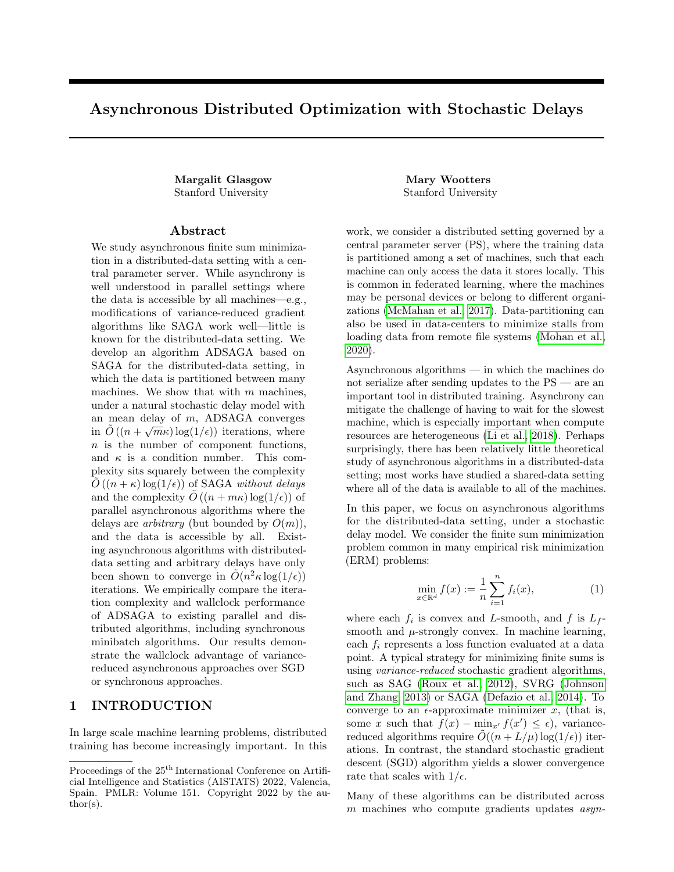# Acknowledgements

The authors thank Ioannis Mitliagkas, Kevin Tian, and Aaron Sidford for helpful conversations and pointers to the literature.

## References

- Zeyuan Allen-Zhu. Katyusha: The rst direct acceleration of stochastic gradient methods. The Journal of Machine Learning Research, 18(1):8194{8244, 2017.
- Zeyuan Allen-Zhu and Elad Hazan. Optimal blackbox reductions between optimization objectives. In Advances in Neural Information Processing Systems, pages 1614{1622, 2016.
- Yossi Arjevani, Ohad Shamir, and Nathan Srebro. A tight convergence analysis for stochastic gradient descent with delayed updates. InAlgorithmic Learning Theory, pages 111{132, 2020.
- Mahmoud Assran, Arda Aytekin, Hamid Feyzmahdavian, Mikael Johansson, and Michael Rabbat. Advances in asynchronous parallel and distributed optimization. arXiv preprint arXiv:2006.13838, 2020.
- Mahmoud S Assran and Michael G Rabbat. Asynchronous gradient push.IEEE Transactions on Automatic Control, 66(1):168{183, 2020.
- Arda Aytekin, Hamid Reza Feyzmahdavian, and Mikael Johansson. Analysis and implementation of an asynchronous optimization algorithm for the parameter server. arXiv preprint arXiv:1610.05507, 2016.
- Dimitri P Bertsekas and John N Tsitsiklis. Parallel and distributed computation: numerical methods volume 23. Prentice hall Englewood Clis, NJ, 1989.
- Adel Bibi, Alibek Sailanbayev, Bernard Ghanem, Robert Mansel Gower, and Peter Richtarik. Improving saga via a probabilistic interpolation with gradient descent. arXiv preprint arXiv:1806.05633, 2018.
- Sorathan Chaturapruek, John C Duchi, and Christopher Re. Asynchronous stochastic convex optimization: the noise is in the noise and sgd don't care. In Advances in Neural Information Processing Systems pages 1531{1539, 2015.
- Je rey Dean and Luiz Andre Barroso. The tail at scale. Communications of the ACM, 56(2):74{80, 2013.
- Aaron Defazio, Francis Bach, and Simon Lacoste-Julien. Saga: A fast incremental gradient method with support for non-strongly convex composite objectives. In Advances in neural information processing systems pages 1646{1654, 2014.
- Ofer Dekel, Ran Gilad-Bachrach, Ohad Shamir, and Lin Xiao. Optimal distributed online prediction using

mini-batches. The Journal of Machine Learning Research, 13:165{202, 2012.

- Roy Frostig, Rong Ge, Sham Kakade, and Aaron Sidford. Un-regularizing: approximate proximal point and faster stochastic algorithms for empirical risk minimization. In International Conference on Machine Learning, pages 2540{2548. PMLR, 2015.
- Nidham Gazagnadou, Robert Gower, and Joseph Salmon. Optimal mini-batch and step sizes for saga. In International Conference on Machine Learning, pages 2142{2150, 2019.
- Robert M Gower, Peter Richtarik, and Francis Bach. Stochastic quasi-gradient methods: Variance reduction via jacobian sketching. arXiv preprint arxiv:1805.02632, 2018.
- Mert Gurbuzbalaban, Asuman Ozdaglar, and Pablo A Parrilo. On the convergence rate of incremental aggregated gradient algorithms.SIAM Journal on Optimization, 27(2):1035{1048, 2017.
- Peter H Jin, Qiaochu Yuan, Forrest Iandola, and Kurt Keutzer. How to scale distributed deep learning? arXiv preprint arXiv:1611.04581, 2016.
- Rie Johnson and Tong Zhang. Accelerating stochastic gradient descent using predictive variance reduction. In Advances in neural information processing systems, pages 315{323, 2013.
- Remi Leblond, Fabian Pedregosa, and Simon Lacoste-Julien. Improved asynchronous parallel optimization analysis for stochastic incremental methods. The Journal of Machine Learning Research, 19(1):3140{ 3207, 2018.
- Jason D Lee, Qihang Lin, Tengyu Ma, and Tianbao Yang. Distributed stochastic variance reduced gradient methods by sampling extra data with replacement. The Journal of Machine Learning Research, 18(1):4404{4446, 2017a.
- Kangwook Lee, Maximilian Lam, Ramtin Pedarsani, Dimitris Papailiopoulos, and Kannan Ramchandran. Speeding up distributed machine learning using codes.IEEE Transactions on Information Theory , 64(3):1514{1529, 2017b.
- Tian Li, Anit Kumar Sahu, Manzil Zaheer, Maziar Sanjabi, Ameet Talwalkar, and Virginia Smith. Federated optimization in heterogeneous networks.arXiv preprint arXiv:1812.06127, 2018.
- Xiangru Lian, Wei Zhang, Ce Zhang, and Ji Liu. Asynchronous decentralized parallel stochastic gradient descent. In International Conference on Machine Learning, pages 3043{3052, 2018.
- Hongzhou Lin, Julien Mairal, and Zaid Harchaoui. A universal catalyst for rst-order optimization. In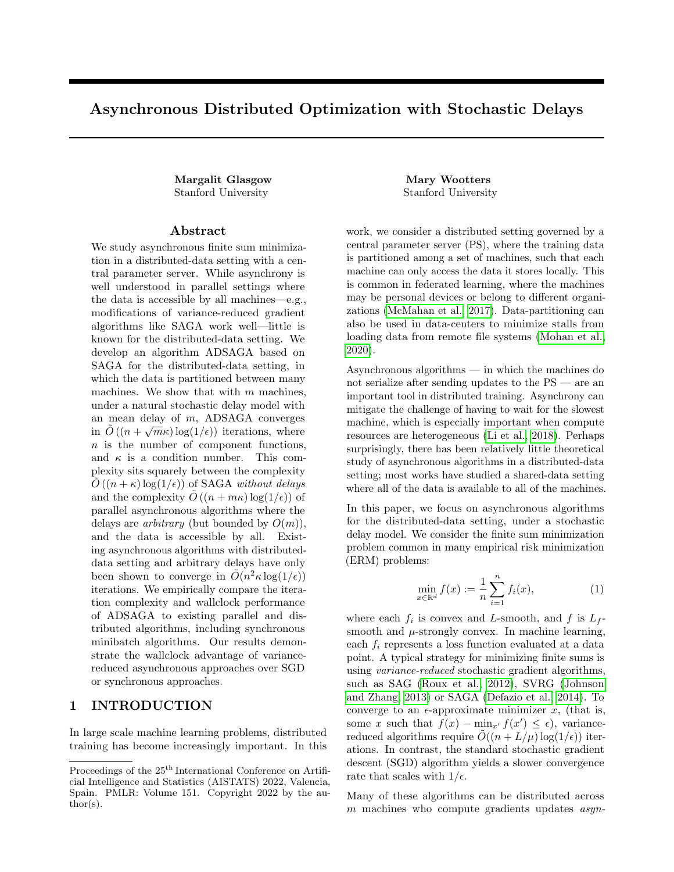Advances in neural information processing systems pages 3384{3392, 2015.

- Horia Mania, Xinghao Pan, Dimitris Papailiopoulos, Benjamin Recht, Kannan Ramchandran, and Michael I Jordan. Perturbed iterate analysis for asynchronous stochastic optimization.arXiv preprint arXiv:1507.06970, 2015.
- Brendan McMahan, Eider Moore, Daniel Ram-Communication-e cient learning of deep networks from decentralized data. In Arti cial Intelligence and Statistics, pages 1273{1282. PMLR, 2017.
- Ioannis Mitliagkas, Ce Zhang, Stefan Hadjis, and Christopher Re. Asynchrony begets momentum, with an application to deep learning. In2016 54th Annual Allerton Conference on Communication, Control, and Computing (Allerton), pages 997{1004. IEEE, 2016.
- Jayashree Mohan, Amar Phanishayee, Ashish Raniwala, and Vijay Chidambaram. Analyzing and mitigating data stalls in dnn training. arXiv preprint arXiv:2007.06775, 2020.
- Deanna Needell, Rachel Ward, and Nati Srebro. Stochastic gradient descent, weighted sampling, and the randomized kaczmarz algorithm. In Advances in neural information processing systems pages 1017{ 1025, 2014.
- Yurii Nesterov et al. Lectures on convex optimization, volume 137. Springer, 2018.
- Atsushi Nitanda, Tomoya Murata, and Taiji Suzuki. Sharp characterization of optimal minibatch size for stochastic nite sum convex optimization. In 2019 IEEE International Conference on Data Mining (ICDM) , pages 488{497. IEEE, 2019.
- Kenta Niwa, Guoqiang Zhang, W Bastiaan Kleijn, Noboru Harada, Hiroshi Sawada, and Akinori Fujino. Asynchronous decentralized optimization with implicit stochastic variance reduction. In International Conference on Machine Learning, pages 8195{8204. PMLR, 2021.
- S Sundhar Ram, Angelia Nedic, and Venu V Veeravalli. Asynchronous gossip algorithm for stochastic optimization: Constant stepsize analysis. InRecent Advances in Optimization and its Applications in Engineering, pages 51{60. Springer, 2010.
- Benjamin Recht, Christopher Re, Stephen Wright, and Feng Niu. Hogwild: A lock-free approach to parallelizing stochastic gradient descent. InAdvances in neural information processing systems, pages 693{ 701, 2011.
- Sashank J Reddi, Ahmed Hefny, Suvrit Sra, Barnabas Poczos, and Alexander J Smola. On variance

reduction in stochastic gradient descent and its asynchronous variants. InAdvances in neural information processing systemspages 2647{2655, 2015.

- Nicolas L Roux, Mark Schmidt, and Francis R Bach. A stochastic gradient method with an exponential convergence rate for nite training sets. In Advances in neural information processing systems pages 2663{ 2671, 2012.
- age, Seth Hampson, and Blaise Aguera y Arcas. Sebastian U Stich and Sai Praneeth Karimireddy. The error-feedback framework: Better rates for sgd with delayed gradients and compressed updates ournal of Machine Learning Research, 21:1{36, 2020.
	- Ye Tian, Ying Sun, and Gesualdo Scutari. Achieving linear convergence in distributed asynchronous multi-agent optimization. IEEE Transactions on Automatic Control , 2020.
	- N Denizcan Vanli, Mert Gurbuzbalaban, and Asuman Ozdaglar. Global convergence rate of proximal incremental aggregated gradient methods.SIAM Journal on Optimization, 28(2):1282{1300, 2018.
	- Blake Woodworth, Kumar Kshitij Patel, and Nathan Srebro. Minibatch vs local sgd for heterogeneous distributed learning. arXiv preprint arXiv:2006.04735, 2020.
	- Cong Xie, Sanmi Koyejo, and Indranil Gupta. Asynchronous federated optimization. arXiv preprint arXiv:1903.03934, 2019.
	- Jiaqi Zhang and Keyou You. Asyspa: An exact asynchronous algorithm for convex optimization over digraphs. IEEE Transactions on Automatic Control , 65(6):2494{2509, 2019.
	- Shen-Yi Zhao and Wu-Jun Li. Fast asynchronous parallel stochastic gradient descent: A lock-free approach with convergence guarantee. InAAAI , pages 2379{ 2385, 2016.
	- Kaiwen Zhou, Fanhua Shang, and James Cheng. A simple stochastic variance reduced algorithm with fast convergence rates. In thernational Conference on Machine Learning, pages 5980{5989, 2018.
	- Jiacheng Zhuo, Qi Lei, Alex Dimakis, and Constantine Caramanis. Communication-e cient asynchronous stochastic frank-wolfe over nuclear-norm balls. In International Conference on Arti cial Intelligence and Statistics, pages 1464{1474. PMLR, 2020.
	- Martin Zinkevich, Markus Weimer, Lihong Li, and Alex J Smola. Parallelized stochastic gradient descent. In Advances in neural information processing systems, pages 2595{2603, 2010.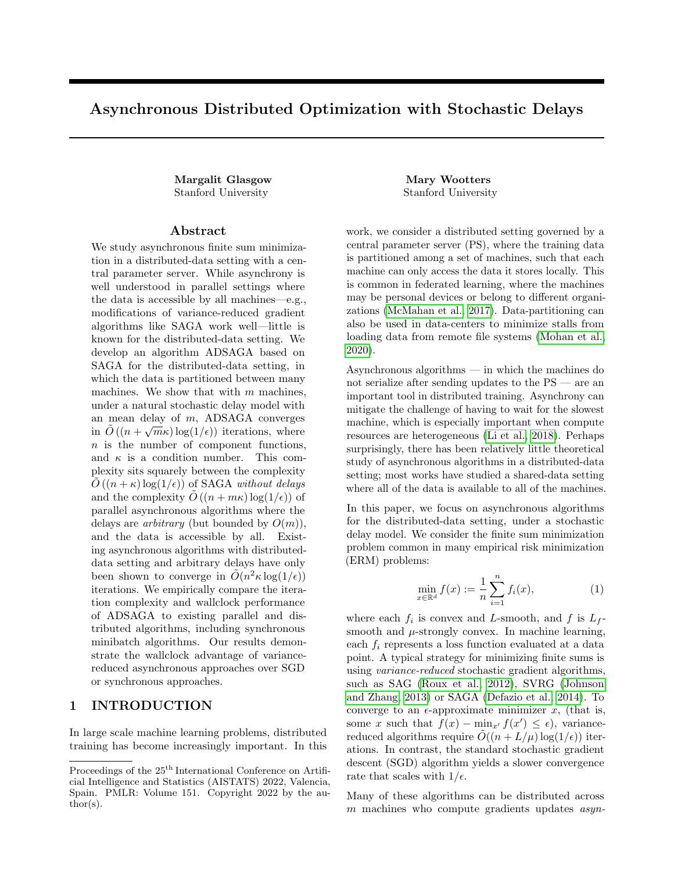# A Extended Related Work

We survey the most related gradient-based asynchronous algorithms for strongly convex optimization, focusing on results for the setting of nite sums. For completeness, we state some results that apply to the more general setting of optimization over (possibly non- nite) data distributions. See Table 1 for a quantitative summary of the most relevant other works.

Synchronous Parallel Stochastic Algorithms. Synchronous parallel stochastic gradient descent algorithms can be thought of as minibatch variants of their non-parallel counterparts. Minibatch SGD is analyzed in Zinkevich et al. (2010); Dekel et al. (2012). For nite sum minimization, minibatch SAGA is analyzed in Gazagnadou et al. (2019); Bibi et al. (2018); Gower et al. (2018); Nitanda et al. (2019), achieving a convergence rate of O n +  $\frac{L}{s}$  +  $\frac{mL}{t}$  log(1=) for a minibatch size of m with distributed data. <sup>5</sup> Distributed SVRG is analyzed in Lee et al. (2017a). Katyusha (Allen-Zhu, 2017) presents an accelerated, variance reduced parallelizable algorithm for nite sums with convergence rate O  $n + \frac{m}{2} + m \stackrel{L_f}{=} \log(1=)$ ; this rate is proved to be near-optimal in Nitanda et al. (2019). Woodworth et al. (2020) compares local mini-batching and local-SGD for the more general setting of non-i.i.d data.

Asynchronous Centralized Algorithms with Shared Data (Figure 1(a)) Centralized asynchronous algorithms often arise in shared-memory architectures or in compute systems with a central parameter server. The textbook (Bertsekas and Tsitsiklis, 1989) shows asymptotic convergence for stochastic optimization intotally asynchronoussettings which may have unbounded delays. In thepartially asynchronous setting, where delays are arbitrary but bounded by some value , sublinear convergence rates oO( $^1$ ) matching those of SGD were achieved for strongly convex stochastic optimization in Recht et al. (2011) (under sparsity assumptions) and Chaturapruek et al. (2015). For nite sum minimization, linear convergence is proved for asynchronous variance-reduced algorithms in Mania et al. (2015); Zhao and Li (2016); Reddi et al. (2015); Leblond et al. (2018); Zhou et al. (2018); Zhuo et al. (2020); the best known rate of  $O$   $n + \frac{L}{n}$  log(1=) is achieved by ASAGA (Leblond et al., 2018) and MiG (Zhou et al., 2018), though these works provide stronger guarantees under sparsity assumptions. Note that most of these works can be applied to lock-free shared-memory architectures as they do not assume consistent reads of the central parameter. Arjevani et al. (2020) and Stich and Karimireddy (2020) consider the setting where all delays are exactly equal to .

Asynchronous Centralized Algorithms with Distributed Data (Figure 1(b)) Several works (Gurbuzbalaban et al., 2017; Aytekin et al., 2016; Vanli et al., 2018) consider incremental aggregated gradient (IAG) algorithms, which use the updateU(i; x) = r f<sub>i</sub>(x) +  $\frac{1}{10}$ <sub>6i</sub> i, and can be applied to the distributed data setting. All of these works yield convergence rates that are quadratic in the maximum delay between computations of f<sub>i</sub>. Note that this delay is lower bounded by n if a single new gradient is computed at each iteration. The bounds in these works are deterministic, and hence cannot leverage any stochasticity in the gradient computed locally at each machine, which is natural whenn > m and each machine holds many functions i . Xie et al. (2019) studies asynchronous federated optimization with arbitrary (bounded) delays; this work achieves a convergence rate that scales with  $1$ .

Asynchronous Decentralized Algorithms with Distributed Data (Figure 1(c)) late the decentralized setting, the network of machines is represented as a grap6, and machines communicate (\gossip") with their neighbors. Many works (Ram et al., 2010; Jin et al., 2016; Lian et al., 2018) have considered the setting of randomized gossip, where each machine has an exponentially distributed clock and wakes up to communicate with its neighbors each time it ticks. In Lian et al. (2018), a convergence rate o $O(1=^2)$  is achieved for non-convex objectives f , matching the rate of SGD. We remark that by choosing the graphG to be the complete graph, this result extends to our model. Tian et al. (2020); Niwa et al. (2021); Assran and Rabbat (2020); Zhang and You (2019) study a decentralized setting with arbitrary but bounded delays. For strongly convex objectivesf , Tian et al. (2020) achieves a linear rate of convergence gradient tracking techniques. However, the dependence on the number of nodes in this work is exponential.

We refer the reader to Assran et al. (2020) for a recent survey on asynchronous parallel optimization algorithms for a more complete discussion of compute architectures and asynchronous algorithms such as coordinate decent

 $5$ We prove this result in Proposition E.1 of the appendix, as the cited works (Gazagnadou et al., 2019; Bibi et al., 2018; Gower et al., 2018) prove slightly weaker bounds for minibatch SAGA using dierent condition numbers.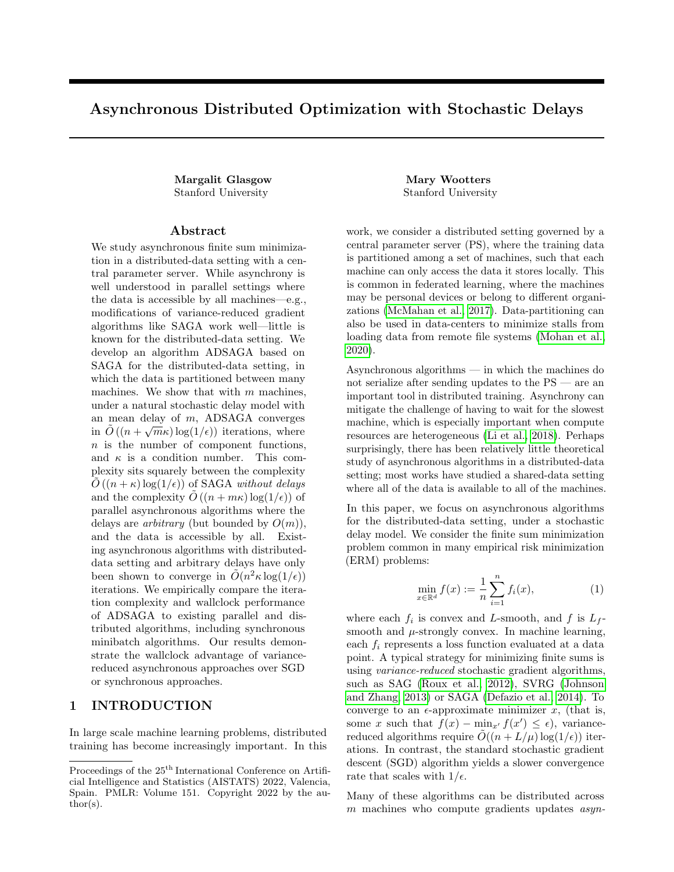methods that are beyond the scope of this section.

## B Restatement of Convergence Result and Detailed Proof Overview

In this section, we state and sketch the proof of our main result, which yields a convergence rate of  $\Theta$  $n + \frac{1}{2} + \frac{mL + L}{m}$  log(1=) when  $p_j = \frac{1}{m}$  for all j, that is, all machines perform updates with the same frequecy up to a constant factor.

Theorem B.1. Let  $f(x) = \frac{1}{n}$  $\sum_{i=1}^{n} f_i(x)$  be an L<sub>f</sub>-smooth and -strongly convex function. Suppose that each<sub>i</sub> is L-smooth and convex. Letr := 8 76+168  $\frac{\text{p}_{\text{max}}}{\text{p}_{\text{min}}}$   $\frac{2}{n}$  $\frac{25}{3}$   $\frac{25}{3}$  For any partition of the n functions to m machines, after

$$
k = mp_{min} \quad 4n + 2r - 2p = \frac{p}{r} \frac{1}{mL_{f}L} \cdot \frac{1}{\log \omega} \cdot \frac{1 + \frac{1}{2m}}{1 + \frac{1}{2m}} \cdot f(x^{0}) \cdot f(x) + \frac{n^{2}}{2L} \frac{1}{A}
$$

iterations of Algorithm 3 with  $=\frac{p!}{(p+q)!}$  $\frac{1}{2rL+2}p^1 \frac{1}{rmL+L}$ , we have E f (x<sup>k</sup>) f (x ) ; where  $2 = \frac{1}{n}$ P  $_{i}$  jr f<sub>i</sub>(x )j<sup>2</sup><sub>2</sub>.

We prove this theorem in Section C. The key elements of our proof are theUnbiased Trajectory Lemma (Lemma B.3) and a novel potential function which captures progress both in the iteratex<sub>k</sub> and in the stale gradients. Throughout, all expectations are over the choice of  $P$  and i Uniform( $S_i$ ) in each iteration of the logical algorithm.

We begin by introducing some notation which will be used in de ning the potential function. Let H, G, and U be the matrices whosej th columns contain the vectors  $h_j = g_{j}$  j,  $g_j$ , and  $u_j$  respectively. We use the superscript k to denote the value of any variable from Algorithm 3 at the beginning of iteration k. When the iteration k is clear from context, we will eliminate the superscripts k. To further simplify, we will use the following de nitions:  $i_i := i$  r f<sub>i</sub>(x),  $i_j := j$  r f<sub>ij</sub>(x), and  $g_j := g_j$  r f<sub>ij</sub>(x), where i<sub>j</sub> is the index of the function used by machine j to compute  $g_j$  and  $j$ , as indicated in Algorithm 3.

We will analyze the expectation of the following potential function  $(x; G; H; U; ; )$ :

$$
(x; G; H; U; ; ) := \sum_{x=0}^{X} \{x; G; H; U; ; )\}
$$

where

1 (x; G; H; U; ; ) := 4 m (f (x) f (x));  
\n2(x; G; H; U; ; ) := 
$$
\begin{array}{cc} x & x & I & I_d & I_d & x & x \\ (U1 + m^{-}) & I_d & 2I_d & (U1 + m^{-}) \\ 3(x; G; H; U; ; ) := & {}^2C_3 & \frac{p_{min}}{p_j} jg_j j_2^2; \\ 0 & 1 & 1 \\ 4(x; G; H; U; ; ) := {}^2C_4 @2 \times \frac{p_{min}}{p_j} j & 1 \frac{1}{2} & \frac{p_{min}}{p_j} j & 1 \frac{1}{2}A; \\ 5(x; G; H; U; ; ) := {}^2C_5 & 1 & 1 \frac{p_{min}}{p_j} j_2^2; \end{array}
$$

;

and

$$
c_{5} := \frac{16}{3} (mL_{f} + 1);
$$
  

$$
c_{3}; c_{4} = 1 + \frac{m}{n} \frac{p_{max}}{p_{min}}^{2!} c_{5}.
$$

The exact values of  $c_3$  and  $c_4$  are given in the Appendix.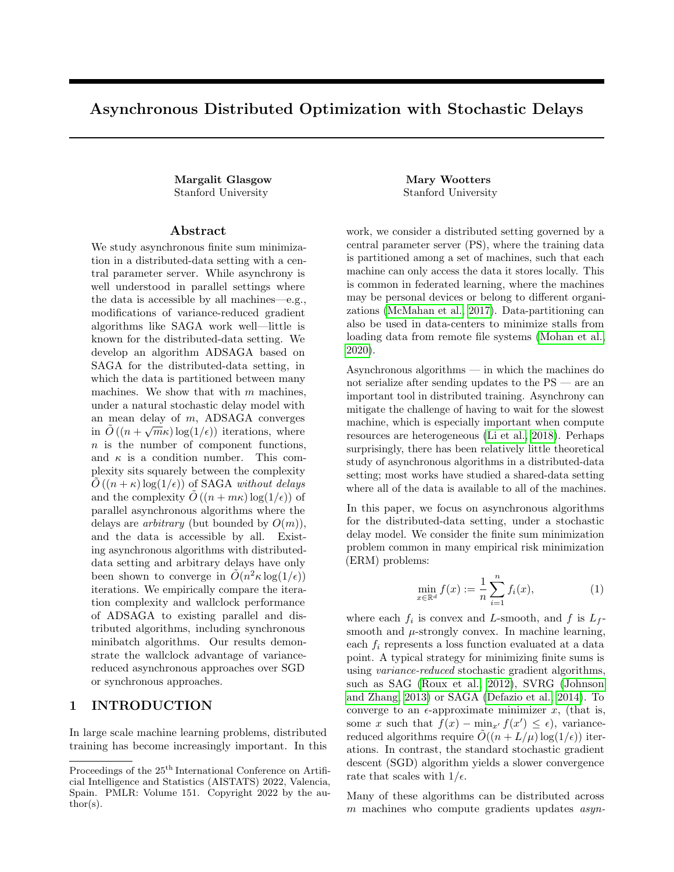It is easy to check that the potential function is non-negative. In particular,  $1$  and  $3$ ,  $5$  are clearly non-negative, and  $_2$  is non-negative because  $\frac{1}{1}$   $_2^1$  is positive de nite. Finally,  $_4$  is non-negative because the terms in the sum overj are a subset of the terms in the sum over.

This potential function captures not only progress in f (x<sup>k</sup>) f (x) and jx<sup>k</sup> x j<sub>2</sub>, but also the extent to which the expected stale update, $\frac{1}{m}$ U1 +  $^-$ , is oriented in the direction of x<sup>k</sup> x . While some steps of asynchronous gradient descent may take us in expectation further from the optimum, those steps will position us for later progress by better orienting  $\frac{1}{m}$ U1 +  $^-$ . The exact coe cients in the potential function are chosen to cancel extraneous quantities that arise when evaluating the expected dierence in potential between steps. In the rest of the text, we abbreviate the potential  $(x^k; G^k; H^k; U^k; k; k)$ , given by the variables at the start of the kth iteration, by (k). All expectations below are over the random choices of P and i Uniform(S<sub>i</sub>) in the kth iteration of Algorithm 3, and we implicitly condition on the history  $f x^k$ ;  $G^k$ ; H<sup>k</sup>; U<sup>k</sup>; k; kg in such expectations.

The following proposition is our main technical proposition.

Proposition B.2. In Algorithm 3, for any step size  $\frac{1}{2rL+2}p^1$   $\frac{1}{rmL+f}$ ,

$$
E_{i,j}
$$
 [ (k + 1)] (1) (k)

where  $=$  mp<sub>min</sub> min  $\frac{1}{4n}$ ; , and r is a constant de ned in Theorem B.1 dependent only on $\frac{p_{max}}{p_{min}}$ .

We sketch the proof of this proposition. For ease of presentation, we assume in this section that =  $\frac{1}{m}$  for all j. The formal proof, which contains precise constants and the dependence  $\varphi_{\text{min}}$ , is given in Section C. We begin by stating the Unbiased Trajectory lemma, which shows that the expected update tox moves in expectation towards the gradient  $r f(x)$ .

Lemma B.3 (Unbiased Trajectory). At any iteration k, we have

$$
E_{i,j}[x^{k+1}] = x^k
$$
  $p_{min}$   $U^k 1 + m^{-k}$ ;

and

$$
E_{i,j} \quad U^{k+1} \, 1 + m^{-k+1} \quad = \quad p_{min} \quad 1 \quad \frac{1}{n} \quad U^{k} \, 1 + m^{-k} \quad + \quad m p_{min} \, r \, f \, (x^{k}) :
$$

Using this condition, we can control the expected change in  $_1$  +  $_2$ , yielding the following lemma, stated with precise constants in Section C. Letq :=  $1 + mL_f$ .

Lemma B.4. (Informal)

E<sub>ij</sub> 
$$
\begin{bmatrix} 1 & (k+1) + 2(k+1) \end{bmatrix}
$$
 1(k) 2(k)  
\n2p<sub>min</sub>  $\begin{array}{c} x & x \ (U1 + m^{-}) & 0 \end{array}$  0  $\begin{array}{c} x & x \ (U1 + m^{-}) & 0 \end{array}$  2mp<sub>min</sub>  $(x \ x)^T r f(x)$   
\n+ 2  $\begin{array}{c} \textcircled{q} \frac{q}{n} & \textcircled{i} \end{array}$   $\begin{array}{c} j & j \end{array}$   $\begin{array}{c} j^2 + \frac{q}{n} & j & j \end{array}$   $\begin{array}{c} j & j \end{array}$   $\begin{array}{c} j^2 + j & j \end{array}$   $\begin{array}{c} j^2 + j & j \end{array}$ 

The rst two terms of this lemma yield a signi cant decrease in the potential. However, the potential may increase from the remaining second order terms, which come from the variance of the update. We can cancel the second order term involving the  $j_{-i}$  j<sup>2</sup>, ju<sub>j</sub> j<sup>2</sup>,jg<sub>j</sub> j<sup>2</sup>, and j<sub>gj</sub> j<sup>2</sup> terms by considering the expected change in potential in <sub>3</sub>, 4 and  $_5$ , captured in the next lemma, formally stated in Section C. While we use big-O notation here, as one can see in the formal lemma in Section C, the exact constants in  $_3$ , 4 and  $_5$  are chosen to cancel the second order terms in Lemma B.4.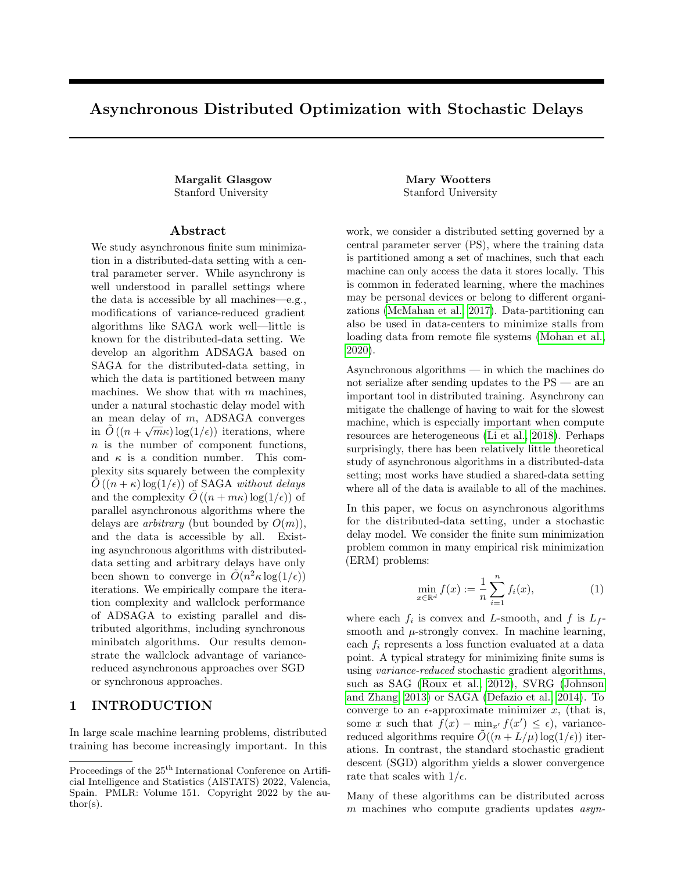Lemma B.5. (Informal)

$$
E[\begin{array}{cccc} 3(k+1) + & 4(k+1) + & 5(k+1)] & ( & 3(k) + & 4(k) + & 5(k)) & \frac{mp_{\text{min}}}{4n} & ( & 3(k) + & 4(k) + & 5(k)) \\ 0 & 2 & \frac{q}{n} & j & j\frac{2}{2} + \frac{q}{n} & j\frac{q}{2} + \frac{1}{n} & j\frac{q}{2} + j & j\frac{2}{2} + k \\ + O & \frac{1}{2} & \frac{1}{n} & j\frac{r}{2} + j & j\frac{r}{2} + k & j\frac{r}{2} + k & j\frac{r}{2} + k & j\frac{r}{2} + k & j\frac{r}{2} + k & j\frac{r}{2} + k & j\frac{r}{2} + k & j\frac{r}{2} + k & j\frac{r}{2} + k & j\frac{r}{2} + k & j\frac{r}{2} + k & j\frac{r}{2} + k & j\frac{r}{2} + k & j\frac{r}{2} + k & j\frac{r}{2} + k & j\frac{r}{2} + k & j\frac{r}{2} + k & j\frac{r}{2} + k & j\frac{r}{2} + k & j\frac{r}{2} + k & j\frac{r}{2} + k & j\frac{r}{2} + k & j\frac{r}{2} + k & j\frac{r}{2} + k & j\frac{r}{2} + k & j\frac{r}{2} + k & j\frac{r}{2} + k & j\frac{r}{2} + k & j\frac{r}{2} + k & j\frac{r}{2} + k & j\frac{r}{2} + k & j\frac{r}{2} + k & j\frac{r}{2} + k & j\frac{r}{2} + k & j\frac{r}{2} + k & j\frac{r}{2} + k & j\frac{r}{2} + k & j\frac{r}{2} + k & j\frac{r}{2} + k & j\frac{r}{2} + k & j\frac{r}{2} +
$$

Intuitively, the 1  $\frac{mp_{min}}{n}$ contraction in this lemma is possible because in each iteration, with probality at least  $\frac{mp_{min}}{n}$ , any one of then variables  $_{i_j}$  is replaced by the variableg<sub>i</sub>, which is in turn replaced by a fresh gradient r f<sub>i</sub>(x).

Finally, we use the smoothness of each i to bound  $\frac{1}{n}$ P <sub>i</sub> jr f<sub>i</sub>(x) r f<sub>i</sub>(x)j $\frac{2}{2}$  by L(x x)<sup>T</sup>r f(x) (Lemma C.9). This allows us to cancel all of the  $\frac{1}{n}$  $\frac{1}{P}$  is different in  $\frac{1}{P}$  in Fi(x) in Fi(x) is  $\frac{1}{2}$  by  $L(x - x)$  in F(x) (Lemmia C.9)<br>if  $f_1(x)$  in  $f_1(x)$  is terms with the negative  $(x - x)$  in  $f(x)$  term in Lemma B.4. We show that if  $\frac{p\frac{1}{L+1}p\frac{1}{mL+L}}{p\frac{1}{L+1}p\frac{1}{mL+L}}$ , the negative  $2m p_{min}$  (x x )<sup>T</sup> r f (x) term in Lemma B.4 dominates the positive O  $2q \frac{1}{n}$ P i ir f<sub>i</sub>(x) r f<sub>i</sub>(x)  $j_2^2$  term (Claim C.10). Using the -strong convexity of f, we show that the remaining fraction of the negative  $2np_{min}$  (x x)<sup>T</sup>r f (x) term leads to a negative 2mp<sub>min</sub> jx x j<sub>2</sub> and  $\frac{m^2 p_{min}}{n}$  (f (x) f (x )) term.

Combining Lemma B.4 and Lemma B.5 with the observations above, we obtain the following lemma:

Lemma B.6. For <sup>1</sup>  $\frac{p_1}{\ln L_f L}$  ,  $E[{ (k+1)}]$  (k)  $2p_{min}$  (lii  $(U1 + m^{-})$  $\frac{m}{2}$  0 0 1  $\mathsf{y}$  $(U1 + m^{-})$ mp<sub>min</sub>  $\frac{P_{\text{min}}}{4n}$ ( <sub>1</sub>(k) + <sub>3</sub>(k) + <sub>4</sub>(k) + <sub>5</sub>(k))

Some linear-algebraic manipulations (Lemma C.12) yield Proposition B.2.

## C Proof of ADSAGA Convergence

In this section we prove Theorem B.1, restated as Theorem A.1.

Theorem C.1. Let  $f(x) = \frac{1}{n}$  $P_{i=1}$  f<sub>i</sub>(x) be an L<sub>f</sub>-smooth and -strongly convex function. Suppose that each<sub>i</sub> 8 76+168  $\frac{\text{p} \text{max}}{\text{p} \text{min}}$   $\frac{2 \text{ m}}{\text{n}}$ 

is L-smooth and convex. Letr :=  $\frac{1}{3}$   $\frac{1}{3}$  . For any partition of the n functions to m machines, after

$$
k = mp_{min} \quad 4n + 2r \frac{L}{r} + 2 \frac{p}{r} \frac{\frac{p}{mL_f L}}{\frac{1}{r}} \log \frac{0}{\frac{m}{r} + \frac{1}{2m}} \quad \text{for } r \text{ (x)} \quad f(x) + \frac{n}{2L} \frac{1}{A}
$$

iterations of Algorithm 3 with  $=\frac{p!}{(p+q)!}$  $\frac{1}{2rL+2}p^1 \frac{1}{rmL + L}$ , we have E f (x<sup>k</sup>) f (x ) ; where  $2 = \frac{1}{n}$ P  $_{i}$  jr f<sub>i</sub>(x )j<sup>2</sup><sub>2</sub>. Remark C.2. Due to the strong convexity, we havex x  $j_2^2$   $\frac{1}{2}$  (f (x) f (x), so this theorem also implies that  $jx^k$  x  $j_2^2$  after  $\Theta$ Ĩ, n + <sup>L</sup> +  $\frac{\rho_{\frac{m}{12}}}{\rho_{\frac{m}{12}}}}$  log(1=) iterations.

We begin by establishing notation and reviewing the update performed at each step of Algorithm 3.

Recall that x is the value held at the PS, and lety denote  $x \times x$ . Let G and H be the matrices whose th column contains the vector  $g_i$  and  $h_i$  respectively. For all the variables in Algorithm 3 and discussed above, we use a superscript k to denote their value at the beginning of iteration k. When the iteration k is clear from context, we will eliminate the superscripts k. To further simplify, we will use the following de nitions:  $\frac{1}{1}$   $:=$   $\frac{1}{1}$  r  $f_1(x)$ ,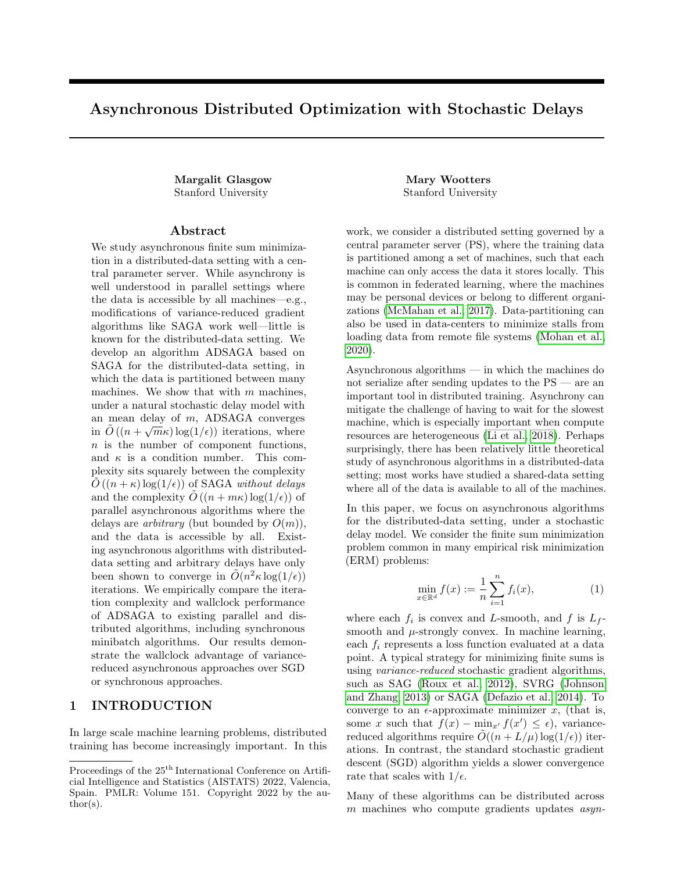$_j := j$  r f<sub>i<sub>j</sub> (x), and  $g_j := g_j$  r f<sub>ij</sub> (x), where i<sub>j</sub> is the index of the function used by machinej to compute</sub> g<sub>j</sub> and <sub>j</sub>, as indicated in Algorithm 3.

Recall that we analyze the expectation of the following potential function  $(x; G; H; U; ; )$ :

$$
(x; G; H; U; ; ) := \sum_{r=1}^{10} x^{6} (x; G; H; U; ; )
$$

where

$$
{}_{1}(x;G;H;U; ; ) := c_{1}(f(x) - f(x));
$$
\n
$$
{}_{2}(x;G;H;U; ; ) := \begin{array}{ccc} x & x & 1 & 1 & x & x \\ (U1 + m^{-}) & 1 & 2 & (U1 + m^{-}) \\ x & \frac{W}{p_{min}} & 1 & 2 & (U1 + m^{-}) \\ 0 & 0 & 1 & 1 \end{array}
$$
\n
$$
{}_{3}(x;G;H;U; ; ) := \begin{array}{ccc} 2_{C_{3}} & \frac{p_{min}}{p_{j}} & 1 & 2 \\ 0 & 1 & 1 & 1 \\ 0 & 0 & 1 & 1 \end{array}
$$
\n
$$
{}_{4}(x;G;H;U; ; ) := \begin{array}{ccc} 2_{C_{4}} & \frac{Q_{2}}{p_{4}} & \frac{p_{min}}{p_{j}} & 1 & 1 \\ 0 & 1 & 1 & 1 \end{array}
$$
\n
$$
{}_{5}(x;G;H;U; ; ) := \begin{array}{ccc} 2_{C_{5}} & \frac{W_{min}}{p_{j}} & 1 & 1 & 1 \\ 0 & 1 & 1 & 1 & 1 \end{array}
$$

Above, we abbreviate the  $2d$  2d matrix  $\begin{bmatrix} 1 & 1 & 1 \\ 1 & 2 & 1 \\ 1 & 2 & 2 \end{bmatrix}$  as  $\begin{bmatrix} 1 & 1 \\ 1 & 2 \end{bmatrix}$ . Later, we will choose theo as follows:

$$
c_{1} = 4 m ;
$$
\n
$$
c_{3} = 64 + 168 \frac{m}{n} \frac{p_{max}}{p_{min}}^{2} {c_{5}
$$
\n
$$
c_{4} = 22 + \frac{76m}{n} \frac{p_{max}}{p_{min}}^{2} {c_{5};
$$
\n
$$
c_{5} = \frac{4}{3} (4mL_{f} + 4) :
$$

The following proposition is our main technical proposition.

Proposition B.2. In Algorithm 3, for any step size  $\frac{1}{2rL+2}p^1$   $\frac{1}{rmL+f}$ ,  $E_{i,j}$   $[(k+1)]$   $(1)$   $(k)$ 

where  $=$  mp<sub>min</sub> min  $\frac{1}{4n}$ ; , and r is a constant de ned in Theorem B.1 dependent only on $\frac{p_{max}}{p_{min}}$ . Before we prove this proposition, we prove Theorem B.1, which follows from Proposition B.2.

Proof. (Theorem B.1) Upon initialization, the expected potential E[ (0)] (over the random choices ofi<sub>i</sub>) equals

$$
E[ (0)] = 4 \text{ m } (f(x^{0}) - f(x)) + jx^{0} - x j_{2}^{2} + {^{2}} (m(c_{3} - c_{4}) + 2 n c_{4}) \frac{1}{n} \int_{i}^{x} j r f_{i}(x) j_{2}^{2}
$$
  
\n
$$
4m + \frac{2}{n} + f(x^{0}) + f(x) + {^{2}} (c_{3} + c_{4}) \int_{i}^{x} j r f_{i}(x) j_{2}^{2}
$$
  
\n
$$
4m + \frac{2}{n} + f(x^{0}) + f(x) + {^{2}} n(c_{3} + c_{4}) {^{2}};
$$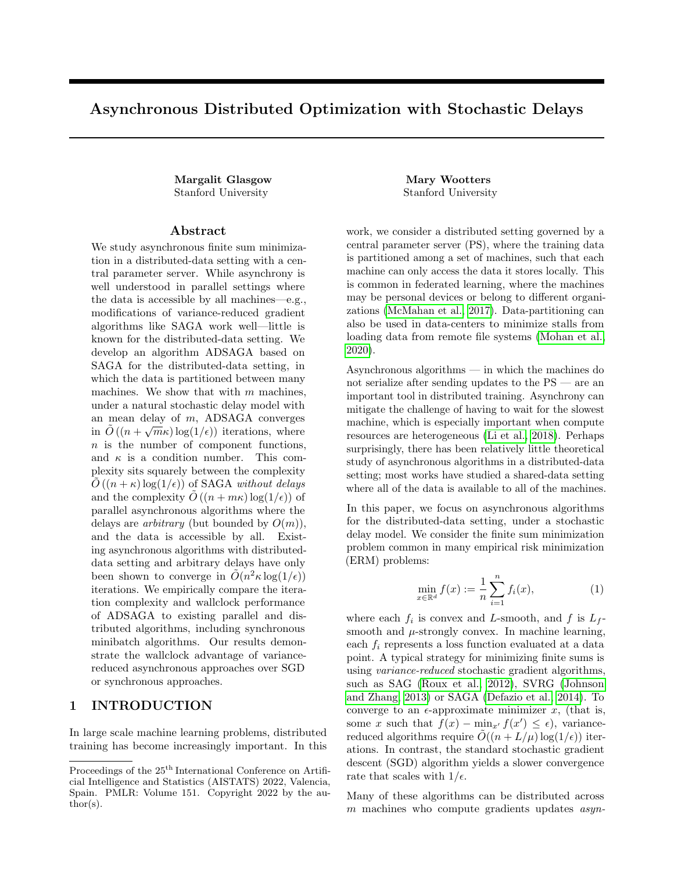where the second line uses-strong convexity, the fact that  $c_3 > c_4$  and that m n. For =  $\frac{1}{2(1+2)}$  $p^1$  $\frac{1}{2rL+2}p^1$   $\frac{1}{rmL+f}$ , we use the fact that  $\frac{1}{2rL}$  since  $\frac{c_3+c_4}{2r}$  mL<sub>f</sub> +1 m; thus

E[ (0)] 
$$
4m + \frac{2}{ } f(x^0) + f(x) + \frac{n (c_3 + c_4)}{2rL} = 2
$$
  
 $4m + \frac{2}{ } f(x^0) + f(x) + \frac{2mn}{L} = 2$ 

where we have plugged in the de nition of r.

With  $=$  mp<sub>min</sub> min  $\frac{1}{4n}$ as in Proposition B.2 and and k as in Theorem B.1, we have

$$
\begin{array}{cccc}\n0 & 1 + \frac{1}{2m} & f(x^0) & f(x) + \frac{n^2}{2L} \\
k & \log \frac{2}{m} & \frac{1}{2m} & \frac{1}{2L} \\
\end{array}
$$

and so

(1 ) k exp ( k ) exp 0 @ log 0 @ 1 + <sup>1</sup> 2m f (x 0 ) f (x ) + n <sup>2</sup> 2L 1 A 1 A

$$
\frac{4m}{4m + \frac{2}{\pi} \left(f(x^{0}) + f(x)\right) + \frac{2mn}{L}} \frac{4m}{E[(0)]}.
$$

It follows from Proposition B.2 that

$$
E[ (k)] \quad 4m
$$

Since (k) 4m (f  $(x^k)$  f  $(x)$ ), we have E[f  $(x^k)$  f  $(x)$ ] as desired.

Proof. (Proposition B.2) To abbreviate, let M =  $\begin{pmatrix} 1 & 1 \\ 1 & 2 \end{pmatrix}$ . We also abbreviater  $\frac{1}{1}$  i = r f<sub>i</sub>(x<sup>k</sup>), and let r be the matrix whose ith column is r<sub>i</sub>. All expectations are over the random choice of P and i Uniform (S<sub>j</sub>) in Algorithm 3. Because, each functioni only belongs to a single machine (i), we will sometime abbreviate the choice ofi; j in each iteration as just a choice ofi; when we do so, any otherwise unspeci ed use of should be interpreted as the machinej (i) where  $f_i$  is stored.

Recall that in each iteration, given the random choice ofj and i in that iteration, the following updates to the variables in Algorithm 3 are made, with  $j = \frac{p_{min}}{p_j}$ :

$$
x^{k+1} \t x^{k} \t j (u_{j}^{k} + {}^{-k});
$$
\n
$$
-k+1 \t -k + \frac{1}{n}h_{j}^{k};
$$
\n
$$
x^{k+1} \t y_{j}^{k};
$$
\n
$$
y_{j}^{k+1} \t r \t f_{i}(x^{k});
$$
\n
$$
x^{k+1} \t \t i \t i \t i \t i \t j;
$$
\n
$$
y_{j}^{k} \t i = i_{j};
$$
\n
$$
h_{j}^{k+1} \t y_{j}^{k+1} \t {j+1} = \begin{cases} r f_{i}(x^{k}) & k \t i \t i \t i \t j; \\ r f_{i}(x^{k}) & y_{j}^{k} \t i = i_{j}; \\ r f_{i}(x^{k}) & y_{j}^{k} \t i = i_{j}; \\ u_{j}^{k+1} \t u_{j}^{k} \t 1 & \t \frac{p_{min}}{p_{j}} + \frac{p_{min}}{p_{j}} h_{j}^{k+1} & \t \frac{m}{n} \t 1 & \t \frac{p_{min}}{p_{j}} \t h_{j}^{k} \\ i_{j}^{k+1} \t i: \end{cases}
$$
\n(?)

 $\Box$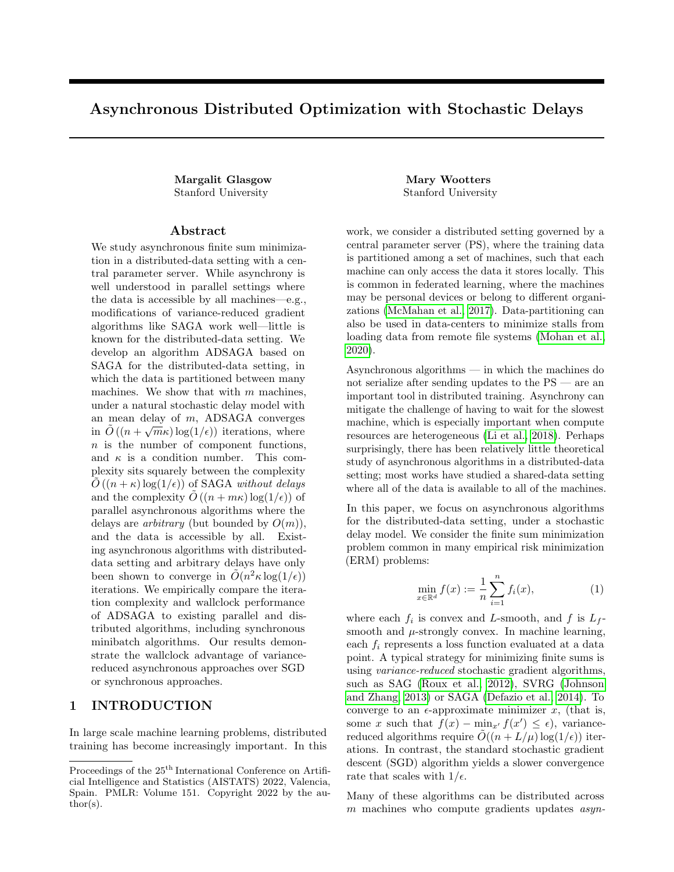Note that the update to u<sub>j</sub> contains a reference to bothh $_j^{k+1}$  and h $_j^k$ . At the end of each iteration, we maintain the invariant  $\frac{k+1}{i_j} = \frac{k+1}{j}$ , and  $\frac{k+1}{n} = \frac{1}{n}$ P i <sup>k+1</sup> because

$$
h^k_j\,=\,g^k_j\qquad \ \ \, \overset{k}{\underset{j}{:}}\,=\quad \ \ \, \overset{k+1}{\underset{j}{:}}\qquad \ \ \, \overset{k}{\underset{j}{:}}\,:
$$

Dropping the superscripts of k, let

$$
i := \begin{array}{cc} x^{k+1} & x \\ (U^{k+1} 1 + m^{-k+1}) & (U1 + m^{-1}) \end{array}
$$

be the change to the vector  $\frac{x}{\cup 1 + m}$  if function i is chosen at iteration k. We begin by computing i.

Claim C.3.

$$
i = j \t u_j + r_i \t u_i^{\top} + l(i = i_j + \frac{m}{n}) h_j
$$

:

Proof. If  $i \in i_j$ , then we have

$$
U^{k+1} \; 1 \; = \; U \; 1 \; + \; \frac{p_{min}}{p_j} \; \big( \quad u_j \; + \; r \; \; f_{i} \; (x) \qquad \, _{i} \big) \; \quad \frac{m}{n} \; \; \; 1 \; \quad \frac{p_{min}}{p_j} \; \; \; h_{j} \; .
$$

Otherwise if  $i = i_j$ , then

$$
U^{k+1} 1 = U1 + \frac{p_{min}}{p_j} (u_j + r f_i(x) - g_j) - \frac{m}{n} 1 - \frac{p_{min}}{p_j} - h_j
$$
  
= U1 +  $\frac{p_{min}}{p_j} (u_j + r f_i(x) - i g_j + j) - \frac{m}{n} 1 - \frac{p_{min}}{p_j} - h_j$   
= U1 +  $\frac{p_{min}}{p_j} (u_j + r f_i(x) - i h_j) - \frac{m}{n} 1 - \frac{p_{min}}{p_j} - h_j$ 

where the second line follows because<sub>i</sub> =  $\frac{1}{1}$  in this case. In both cases, we have

$$
m^{-k+1}\,=\,m^-+\,\frac{m}{n}h_j:
$$

Putting this all together with the update to x and the fact that  $j = \frac{p_{min}}{p_j}$  yields the claim:

$$
i = \frac{p_{\min}}{p_j} (u_j + r_i, i) + \frac{m}{n} 1 - \frac{p_{\min}}{p_j} \frac{p_{\min}}{p_j} I(i = i_j) + \frac{m}{n} h_j
$$
  
\n
$$
= \frac{p_{\min}}{p_j} u_j + r_i, i + I(i = i_j) + \frac{m}{n} h_j
$$
  
\n
$$
= \frac{j(u_j + 1)}{j(u_j + 1)} \frac{j(u_j + 1)}{j(u_j + 1)} = \frac{j(u_j + 1)}{j(u_j + 1)} \frac{j(u_j + 1)}{j(u_j + 1)} \frac{m}{j(u_j + 1)} \frac{m}{j(u_j + 1)} \frac{m}{j(u_j + 1)} \frac{m}{j(u_j + 1)} \frac{m}{j(u_j + 1)} \frac{m}{j(u_j + 1)} \frac{m}{j(u_j + 1)} \frac{m}{j(u_j + 1)} \frac{m}{j(u_j + 1)} \frac{m}{j(u_j + 1)} \frac{m}{j(u_j + 1)} \frac{m}{j(u_j + 1)} \frac{m}{j(u_j + 1)} \frac{m}{j(u_j + 1)} \frac{m}{j(u_j + 1)} \frac{m}{j(u_j + 1)} \frac{m}{j(u_j + 1)} \frac{m}{j(u_j + 1)} \frac{m}{j(u_j + 1)} \frac{m}{j(u_j + 1)} \frac{m}{j(u_j + 1)} \frac{m}{j(u_j + 1)} \frac{m}{j(u_j + 1)} \frac{m}{j(u_j + 1)} \frac{m}{j(u_j + 1)} \frac{m}{j(u_j + 1)} \frac{m}{j(u_j + 1)} \frac{m}{j(u_j + 1)} \frac{m}{j(u_j + 1)} \frac{m}{j(u_j + 1)} \frac{m}{j(u_j + 1)} \frac{m}{j(u_j + 1)} \frac{m}{j(u_j + 1)} \frac{m}{j(u_j + 1)} \frac{m}{j(u_j + 1)} \frac{m}{j(u_j + 1)} \frac{m}{j(u_j + 1)} \frac{m}{j(u_j + 1)} \frac{m}{j(u_j + 1)} \frac{m}{j(u_j + 1)} \frac{m}{j(u_j + 1)} \frac{m}{j(u_j + 1)} \frac{m}{j(u_j + 1)} \frac{m}{j(u_j + 1)} \frac{m}{j(u_j + 1)} \frac{m}{j(u_j + 1)} \frac
$$

Computing the expectation of  $\frac{1}{1}$  and plugging in  $\frac{1}{1} = \frac{p_{\text{min}}}{p_i}$  yields the Unbiased Trajectory lemma: Lemma B.3 (Unbiased Trajectory).

$$
E_{i,j} [i] = p_{min} \t U1 + m^{-} \t m_{n}^{-} 1
$$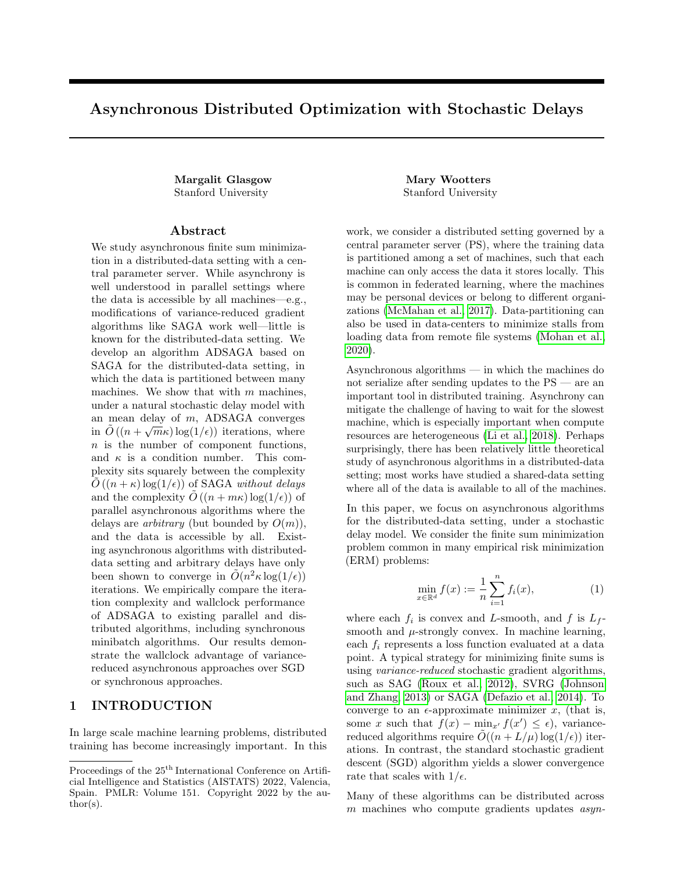Proof. First note that  $1(i = i_j)$  is independent from j, and occurs with probability  $\frac{1}{|S_j|} = \frac{m}{n}$ . Hence, from Claim C.3, we have

$$
E_{i,j} [i] = E_{i,j} j \t u_j + r_i i + l(i = i_j + \frac{m}{n}) h_j
$$
  
= 
$$
\begin{array}{ccc} X & m \t u_j & - \\ \frac{m}{j! \ 2s_j} & n p_j i & u_j + r_i & i + l(i = i_j + \frac{m}{n}) h_j \end{array}
$$
  
= 
$$
p_{min} \t U_1 + \frac{m}{n} r_1 + m -
$$
:

Now

$$
2(k+1) = \begin{array}{ccccccccc} & y & & & & 1 & & 1 & & y \\ & & y & & & 1 & & 1 & & y \\ & & & (U1+m^{-}) & & + & i & & 1 & 2 & & (U1+m^{-}) & & + & i & ; \end{array}
$$

so we can compute the di erence

E[ <sup>2</sup>(k + 1)] <sup>2</sup>(k) = 2 <sup>y</sup> (U1 + m ) T 1 1 1 2 <sup>E</sup>i;j [ <sup>i</sup> ] + Ei;j T <sup>i</sup> M <sup>i</sup> = 2p min y (U1 + m ) T 1 1 1 2 U1 + m U1 + m <sup>m</sup> n r 1 + Ei;j T <sup>i</sup> M <sup>i</sup> = 2pmin y (U1 + m ) T 0 0 0 1 y (U1 + m ) + Ei;j T <sup>i</sup> M <sup>i</sup> 2mp min n y T r 1 + 4 <sup>2</sup>mpmin n (U1 + m ) T r 1: (4)

We bound the quadratic term in the dierence E[  $_2(k)$ ]  $_2(k)$  in (4) in the following claim.

Claim C.4.

$$
E_{i;j} \hspace{0.5cm} \vec{r} \hspace{0.1cm} \vec{M} \hspace{0.1cm} i \hspace{0.1cm} \frac{4mp_{min}^{-2}}{n} \frac{0}{\omega_4} X \hspace{0.1cm} j g_j \hspace{0.1cm} j_2^2 + 4 \hspace{0.1cm} \vec{J} \hspace{0.1cm} j \hspace{0.1cm} j_2^2 + \frac{n}{m} \hspace{0.1cm} \frac{X}{j} \hspace{0.1cm} j u_j \hspace{0.1cm} j_2^2 + 2 \hspace{0.1cm} \vec{J} \hspace{0.1cm} j \hspace{0.1cm} j_2^2 + 2 \hspace{0.1cm} \vec{J} \hspace{0.1cm} j \hspace{0.1cm} \vec{J} \hspace{0.1cm} i \hspace{0.1cm} \vec{J} \hspace{0.1cm} i \hspace{0.1cm} \vec{J} \hspace{0.1cm} i \hspace{0.1cm} \vec{J} \hspace{0.1cm} i \hspace{0.1cm} \vec{J} \hspace{0.1cm} i \hspace{0.1cm} \vec{J} \hspace{0.1cm} i \hspace{0.1cm} \vec{J} \hspace{0.1cm} i \hspace{0.1cm} \vec{J} \hspace{0.1cm} i \hspace{0.1cm} \vec{J} \hspace{0.1cm} i \hspace{0.1cm} \vec{J} \hspace{0.1cm} i \hspace{0.1cm} \vec{J} \hspace{0.1cm} i \hspace{0.1cm} \vec{J} \hspace{0.1cm} i \hspace{0.1cm} \vec{J} \hspace{0.1cm} i \hspace{0.1cm} \vec{J} \hspace{0.1cm} i \hspace{0.1cm} \vec{J} \hspace{0.1cm} i \hspace{0.1cm} \vec{J} \hspace{0.1cm} i \hspace{0.1cm} \vec{J} \hspace{0.1cm} i \hspace{0.1cm} \vec{J} \hspace{0.1cm} i \hspace{0.1cm} \vec{J} \hspace{0.1cm} i \hspace{0.1cm} \vec{J} \hspace{0.1cm} i \hspace{0.1cm} \vec{J} \hspace{
$$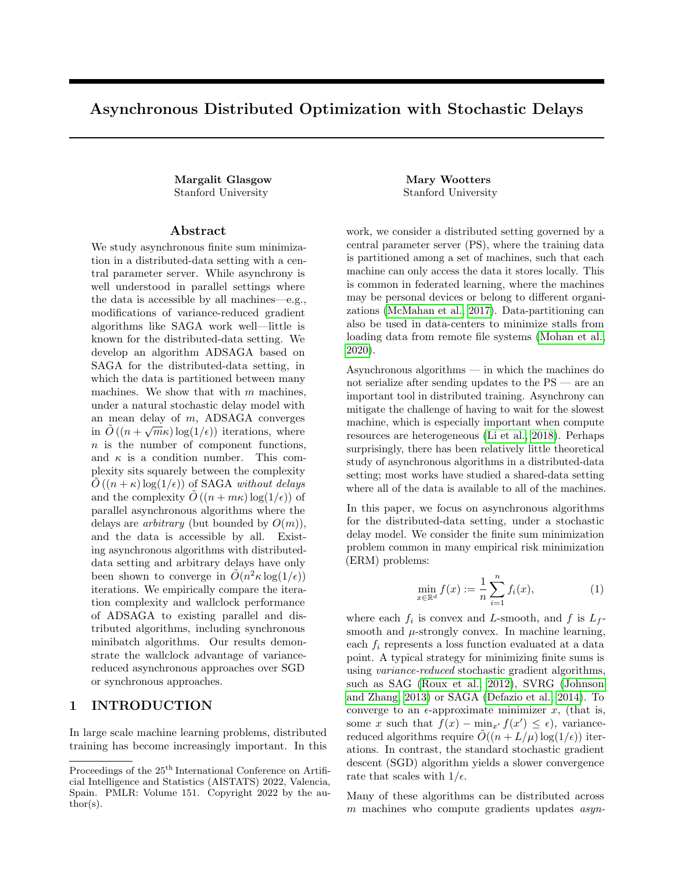Proof.

$$
\frac{1}{2}E_{i,j} \t T_{i} M_{i}
$$
\n
$$
= E_{i,j} \t \frac{2}{2} u_{j} r_{i} + \t {i + \frac{m}{n} + 1(i = i_{j}) h_{j}} M_{i} r_{i} + \t {i + \frac{m}{n} + 1(i = i_{j}) h_{j}}
$$
\n
$$
= \frac{2}{n} u_{j} r_{i} + \t {i + \frac{m}{n} + 1(i = i_{j}) h_{j}} M_{i} r_{i} + \t {i + \frac{m}{n} + 1(i = i_{j}) h_{j}}
$$
\n
$$
= \frac{4m p_{min}}{n} \times \int_{i}^{i} u_{j} r_{i} + \t {i + \frac{m}{n} + 1(i = i_{j}) h_{j}} M_{i} u_{j} r_{i} + \t {i + \frac{m}{n} + 1(i = i_{j}) h_{j}}
$$
\n
$$
+ \frac{4m p_{min}}{n} \times \int_{i}^{m} u_{j} M_{i} \t {i + \frac{m p_{min}}{n} h_{j}} M_{i} M_{j}
$$
\n
$$
+ \frac{4m p_{min}}{n} \times \int_{i}^{m} u_{j} M_{i} u_{j}
$$
\n
$$
+ \frac{4m p_{min}}{n} \times \int_{i}^{m} u_{j} r_{i} r_{i}(x) M_{i} r_{i}(x)
$$
\n
$$
+ \frac{4m p_{min}}{n} \times \int_{i}^{m} u_{j} r_{i} r_{i}(x) M_{i} r_{i} r_{i}(x)
$$
\n(5)

Here the rst inequality is by the fact the de nition  $j = \frac{p_{min}}{p_j}$ , and the second is by Jensen's inequality and the fact that the distribution of j conditioned on the indicator  $I(i = i_j)$  is equivalent to the distribution of j when i is chosen uniformly at random.

We can bound each of these terms by plugging in  $M =$  $\begin{array}{cc} 1 & 1 \\ 1 & 2 \end{array}.$ 

For the rst two terms involving  $h_j$ , we have,

0 terms involving 
$$
n_j
$$
, we have,  
\n1  $\frac{m}{n}$   $\frac{X}{m} = \frac{0}{n} \sum_{\substack{m=1 \ n \text{ odd}}}^{T} M = \frac{0}{n} \sum_{\substack{m=1 \ n \text{ odd}}}^{T} \frac{m}{n} \sum_{j=1}^{n} \frac{1}{j} \sum_{\substack{m=1 \ n \text{ odd}}}^{T} \frac{1}{j} \sum_{\substack{m=1 \ n \text{ odd}}}^{T} \frac{1}{j} \sum_{\substack{j=1 \ n \text{ odd}}}^{T} \frac{1}{j} \sum_{\substack{j=1 \ n \text{ odd}}}^{T} \frac{1}{j} \sum_{\substack{j=1 \ n \text{ odd}}}^{T} \frac{1}{j} \sum_{\substack{j=1 \ n \text{ odd}}}^{T} \frac{1}{j} \sum_{\substack{j=1 \ n \text{ odd}}}^{T} \frac{1}{j} \sum_{\substack{j=1 \ n \text{ odd}}}^{T} \frac{1}{j} \sum_{\substack{j=1 \ n \text{ odd}}}^{T} \frac{1}{j} \sum_{\substack{j=1 \ n \text{ odd}}}^{T} \frac{1}{j} \sum_{\substack{j=1 \ n \text{ odd}}}^{T} \frac{1}{j} \sum_{\substack{j=1 \ n \text{ odd}}}^{T} \frac{1}{j} \sum_{\substack{j=1 \ n \text{ odd}}}^{T} \frac{1}{j} \sum_{\substack{j=1 \ n \text{ odd}}}^{T} \frac{1}{j} \sum_{\substack{j=1 \ n \text{ odd}}}^{T} \frac{1}{j} \sum_{\substack{j=1 \ n \text{ odd}}}^{T} \frac{1}{j} \sum_{\substack{j=1 \ n \text{ odd}}}^{T} \frac{1}{j} \sum_{\substack{j=1 \ n \text{ odd}}}^{T} \frac{1}{j} \sum_{\substack{j=1 \ n \text{ odd}}}^{T} \frac{1}{j} \sum_{\substack{j=1 \ n \text{ odd}}}^{T} \frac{1}{j} \sum_{\substack{j=1 \ n \text{ odd}}}^{T} \frac{1}{j} \sum_{\substack{j=1 \ n \text{ odd}}}^{T} \frac{1}{j} \sum_{\substack{j=1 \ n \text{ odd}}}^{T} \frac{1}{j} \sum_{\substack{j=1 \ n \text{ odd}}}^{T} \frac{1}{j} \sum_{\substack{j=1 \ n \text{ odd}}}^{T} \frac$ 

"

Similarly,

X i " uj uj T  $M \quad \overset{U_j}{\cdot}$ uj # = X i  $ju_j j_2^2 = \frac{n}{r}$ m X j ju $j_2^2$ :  $(7)$ 

For the nal two terms, we have

X  
\n
$$
X = T_{1}(x) \t M_{1} - \frac{1}{2}T_{1}(x) + \frac{1}{2}T_{1}(x) + \frac{1}{2}T_{1}(x) + \frac{1}{2}T_{1}(x) + \frac{1}{2}T_{1}(x) + \frac{1}{2}T_{1}(x) + \frac{1}{2}T_{1}(x) + \frac{1}{2}T_{1}(x) + \frac{1}{2}T_{1}(x) + \frac{1}{2}T_{1}(x) + \frac{1}{2}T_{1}(x) + \frac{1}{2}T_{1}(x) + \frac{1}{2}T_{1}(x) + \frac{1}{2}T_{1}(x) + \frac{1}{2}T_{1}(x) + \frac{1}{2}T_{1}(x) + \frac{1}{2}T_{1}(x) + \frac{1}{2}T_{1}(x) + \frac{1}{2}T_{1}(x) + \frac{1}{2}T_{1}(x) + \frac{1}{2}T_{1}(x) + \frac{1}{2}T_{1}(x) + \frac{1}{2}T_{1}(x) + \frac{1}{2}T_{1}(x) + \frac{1}{2}T_{1}(x) + \frac{1}{2}T_{1}(x) + \frac{1}{2}T_{1}(x) + \frac{1}{2}T_{1}(x) + \frac{1}{2}T_{1}(x) + \frac{1}{2}T_{1}(x) + \frac{1}{2}T_{1}(x) + \frac{1}{2}T_{1}(x) + \frac{1}{2}T_{1}(x) + \frac{1}{2}T_{1}(x) + \frac{1}{2}T_{1}(x) + \frac{1}{2}T_{1}(x) + \frac{1}{2}T_{1}(x) + \frac{1}{2}T_{1}(x) + \frac{1}{2}T_{1}(x) + \frac{1}{2}T_{1}(x) + \frac{1}{2}T_{1}(x) + \frac{1}{2}T_{1}(x) + \frac{1}{2}T_{1}(x) + \frac{1}{2}T_{1}(x) + \frac{1}{2}T_{1}(x) + \frac{1}{2}T_{1}(x) + \frac{1}{2}T_{1}(x) + \frac{1}{2}T_{1}(x) + \frac{1}{2}T_{1}(x) + \frac{1}{2}T_{1}(x) + \frac{1}{2}T_{1}(x) + \frac{1}{2}T_{1}(x) + \frac{1}{2}T_{1}(x
$$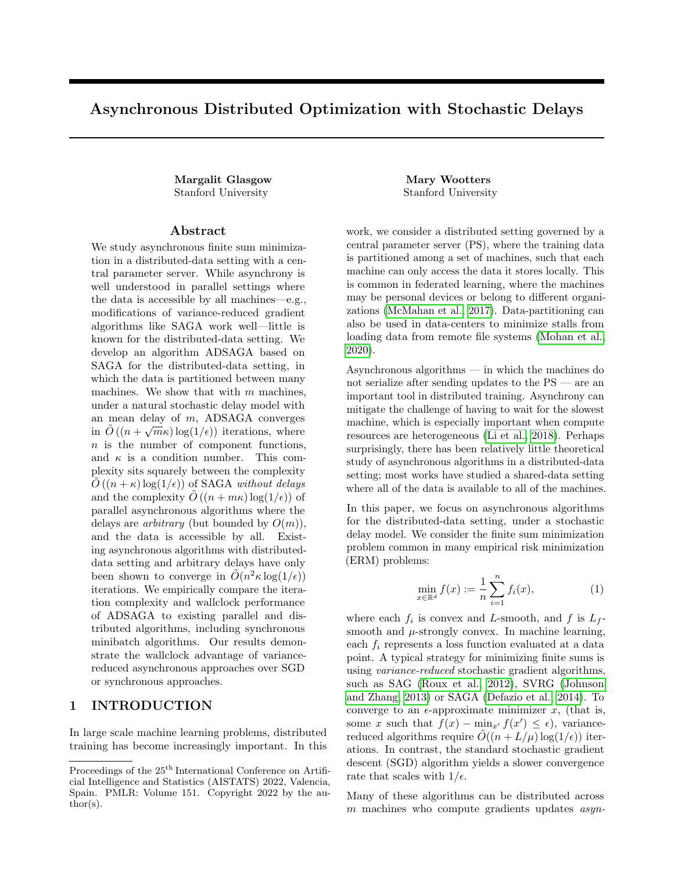Plugging these three equations into Equation 5 yields the claim.

Next we bound the expected change in  $_1$ .

Claim C.5.

$$
E[\begin{array}{cc}1(k+1)] & 1(k) & \frac{C_1 \ p_{\min}}{n} (U1 + m^{-})^T r 1 \\ & + C_1 L_f \ ^2 m p_{\min} \ & \frac{1}{m} \sum_{j=1}^{N} j u_j j_2^2 + \frac{1}{n} \quad j \ \ _j i_2^2 A \end{array}
$$

Proof. Using convexity and  $L_f$ -smoothness,

$$
E[\begin{array}{cc} 1(k+1)] & (k) = c_1 E_{i,j} \left[ f(x) - \frac{1}{n} \left( u_j + \frac{1}{n} \right) \right] & c_1 f(x) \\ c_1 E[\begin{array}{c} 1 \end{array} (u_j + \frac{1}{n})^T \frac{1}{n} + \frac{c_1 L_f}{2} E[j] \left[ u_j + \frac{1}{n} \right] & c_2 E[\begin{array}{c} 1 \end{array} \right] \\ = \frac{c_1 p_{min}}{n} \left( U_1 + m^{-1} \right) r_1 + \frac{c_1 L_f}{2} \left( \frac{V_1}{p} \right) \frac{1}{p} \left[ \frac{1}{p} \right] \left[ \frac{1}{p} \right] + \frac{1}{p} \left[ \frac{2}{p} \right] \left[ \frac{1}{p} \right] \left[ \frac{1}{p} \right] + \frac{1}{p} \left[ \frac{2}{p} \right] \left[ \frac{1}{p} \right] \left[ \frac{1}{p} \right] \\ = \frac{c_1 p_{min}}{n} \left( U_1 + m^{-1} \right) r_1 + c_1 L_f \left( \frac{V_1}{p} \right) \left[ \frac{1}{p} \right] \left[ \frac{1}{p} \right] + c_1 L_f \left( \frac{2m_{min}}{n} \right) \left[ \frac{1}{p} \right] \\ = \frac{c_1 p_{min}}{n} \left( U_1 + m^{-1} \right) r_1 + c_1 L_f \left( \frac{2m_{min}}{p} \right) \left[ \frac{1}{p} \right] \left[ \frac{1}{p} \right] + \frac{c_1 L_f \left( \frac{2m_{min}}{n} \right)}{n} \left[ \frac{1}{p} \right] \left[ \frac{1}{p} \right] \left[ \frac{1}{p} \right] \left[ \frac{1}{p} \right] \left[ \frac{1}{p} \right] \left[ \frac{1}{p} \right] \left[ \frac{1}{p} \right] \left[ \frac{1}{p} \right] \left[ \frac{1}{p} \right] \left[ \frac{1}{p} \right] \left[ \frac{1}{p} \right] \left[ \frac{1}{p} \right] \left[ \frac{1}{p} \right] \left[ \frac{1}{p} \right] \
$$

0, we havej $^{-j^2}$   $\frac{1}{n}$  $j \mid j^2$  in the third inequality.  $\Box$ 

We now combine(4), Claim C.4, and Claim C.5, plugging in our choice of $c_1 = 4$ m, which was chosen so that the  $(U1 + m^{-})^{T}$ r 1 terms cancel. This yields the following lemma.

Lemma B.4. (Formal)

$$
E[1(k+1) + 2(k+1)] \tbinom{1(k) + 2(k)}{1}
$$
  
\n
$$
2p_{min} \tbinom{y}{1 + m} 0 0 \tbinom{y}{1 + m} 2m \tbinom{2mp_{min}}{n} y^{T} r 1
$$
  
\n
$$
+ j u_{j} j_{2}^{2} 2p_{min} (4m L_{f} + 4)
$$
  
\n
$$
+ j g_{j} j_{2}^{2} \tbinom{16mp_{min}}{n} 2
$$
  
\n
$$
+ j j_{j} j_{2}^{2} \tbinom{16mp_{min}}{n} (4m L_{f} + 16)
$$
  
\n
$$
+ j j_{j} j_{2}^{2} \tbinom{2mp_{min}}{n} (4m L_{f} + 16)
$$
  
\n
$$
+ j i j_{j} j_{j}^{2} \tbinom{3mp_{min}}{n} (4m L_{f} + 16)
$$

We proceed in the following claims to bound the di erences in expectation of  $_3$  and  $_4$ . Claim C.6.  $\ddot{x}$  $\overline{V}$ 

$$
E[\,3(k+1)]\qquad 3(k) \qquad {}^{2}C_{3}p_{min} \qquad jg_{j}j_{2}^{2} + {}^{2}C_{3}p_{min}\frac{m}{n} \sum_{i}^{X}j_{i}r_{i}r_{i}(x)j_{2}^{2}.
$$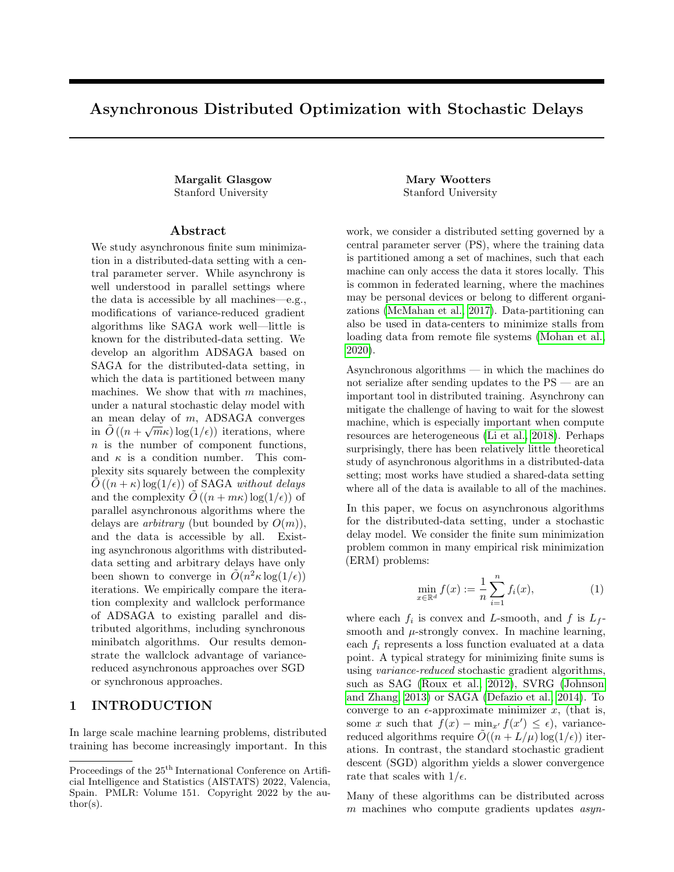Proof. If function i is chosen in iteration k, then g becomesr, so

$$
_{3}(k+1) = \frac{0}{^{2}C_{3}} \frac{X}{\omega} \frac{p_{min}}{p_{j}} j g_{j} j_{2}^{2} + \frac{p_{min}}{p_{j}} j r_{i} \quad r_{i}(x) j_{2}^{2} A :
$$

Taking the expectation over i yields the claim.

Claim C.7.

E<sub>ij</sub> [ 4(k+1)] 4(k) 
$$
\frac{p_{min} m}{4n}
$$
 4(k)  $\frac{2 \frac{m p_{min} c_4}{2n} \times j}{2n}$  j  $j\frac{2}{2}$   
+  $\frac{2 p_{min} c_4}{3n}$  k  $j$  j  $j\frac{2}{2}$   
+  $\frac{2 p_{min} c_4}{3n}$  j  $g_j$  j  $g_j$ :

Proof. If function i is chosen in thekth iteration, then

$$
{}_{4}(k+1) \qquad {}_{4}(k) = \frac{22c_{4} \frac{p_{min}}{p_{j}}}{p_{j}} jg_{j} j_{2}^{2} j_{i j} j_{2}^{2} + \frac{2c_{4} \frac{p_{min}}{p_{j}}}{p_{j}} j_{j} j_{2}^{2} j_{i} j_{2}^{2} + l(i = i_{j})(j_{i} j_{2}^{2} j g_{j} j_{2}^{2}) = \frac{2c_{4} \frac{p_{min}}{p_{j}}}{p_{j}} j_{i} j_{2}^{2} + j_{j} j_{2}^{2} + \frac{22c_{4} \frac{p_{min}}{p_{j}}}{p_{j}} j_{2} j_{2}^{2} + \frac{2c_{4} \frac{p_{min}}{p_{j}}}{p_{j}} (i = i_{j}) j_{j} j_{2}^{2} j g_{j} j_{2}^{2} ;
$$

where we have plugged in  $_{i_j}$  =  $_{-j}$  , and in the case wheni = i<sub>j</sub>, the equality  $_{-i}$  =  $_{-j}$  . Taking the expectation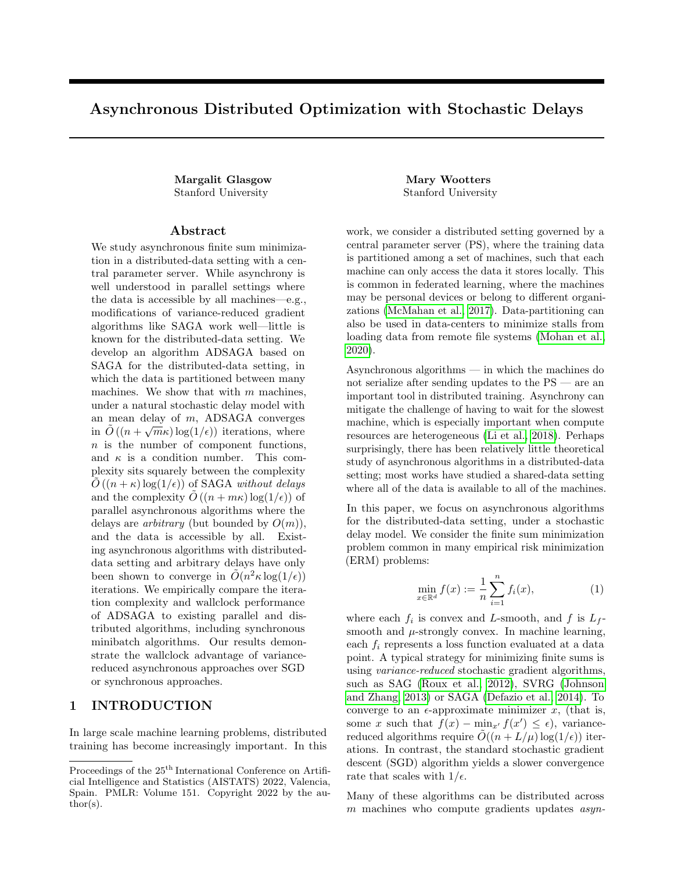over i yields

E<sub>ij</sub> [ 
$$
4(k+1)
$$
]  $4(k) = \n2_{C4}p_{min} \n\mathop{\bigoplus_{i}^{m} X} \n\begin{array}{c}\n1 \\ \n+ 2_{C4}p_{min} \n\begin{array}{c}\n\frac{1}{2} \\
\frac{1}{2} \\
\frac{1}{2} \\
\frac{1}{2} \\
\frac{1}{2} \\
\frac{1}{2} \\
\frac{1}{2} \\
\frac{1}{2} \\
\frac{1}{2} \\
\frac{1}{2} \\
\frac{1}{2} \\
\frac{1}{2} \\
\frac{1}{2} \\
\frac{1}{2} \\
\frac{1}{2} \\
\frac{1}{2} \\
\frac{1}{2} \\
\frac{1}{2} \\
\frac{1}{2} \\
\frac{1}{2} \\
\frac{1}{2} \\
\frac{1}{2} \\
\frac{1}{2} \\
\frac{1}{2} \\
\frac{1}{2} \\
\frac{1}{2} \\
\frac{1}{2} \\
\frac{1}{2} \\
\frac{1}{2} \\
\frac{1}{2} \\
\frac{1}{2} \\
\frac{1}{2} \\
\frac{1}{2} \\
\frac{1}{2} \\
\frac{1}{2} \\
\frac{1}{2} \\
\frac{1}{2} \\
\frac{1}{2} \\
\frac{1}{2} \\
\frac{1}{2} \\
\frac{1}{2} \\
\frac{1}{2} \\
\frac{1}{2} \\
\frac{1}{2} \\
\frac{1}{2} \\
\frac{1}{2} \\
\frac{1}{2} \\
\frac{1}{2} \\
\frac{1}{2} \\
\frac{1}{2} \\
\frac{1}{2} \\
\frac{1}{2} \\
\frac{1}{2} \\
\frac{1}{2} \\
\frac{1}{2} \\
\frac{1}{2} \\
\frac{1}{2} \\
\frac{1}{2} \\
\frac{1}{2} \\
\frac{1}{2} \\
\frac{1}{2} \\
\frac{1}{2} \\
\frac{1}{2} \\
\frac{1}{2} \\
\frac{1}{2} \\
\frac{1}{2} \\
\frac{1}{2} \\
\frac{1}{2} \\
\frac{1}{2} \\
\frac{1}{2} \\
\frac{1}{2} \\
\frac{1}{2} \\
\frac{1}{2} \\
\frac{1}{2} \\
\frac{1}{2} \\
\frac{1}{2} \\
\frac{1}{2} \\
\frac{1}{2} \\
\frac{1}{2} \\
\frac{1}{2} \\
\frac{1}{2} \\
\frac{1}{2} \\
\frac{1}{2} \\
\frac{1}{2} \\
\frac{1$ 

where the rst inequality follows from the fact that  $\frac{p_{min}}{p_i}$  p<sub>j</sub> for all j, and the second inequality follows from bounding 0  $\frac{m}{n}$  1.

Claim C.8.

E[ <sup>5</sup>(k+1)] <sup>5</sup>(k) c<sup>5</sup> 2 2 4 pmin X j juj j <sup>2</sup> + 4mpmin n X i jr <sup>i</sup> r <sup>i</sup> (x )j 2 <sup>2</sup> + j i j 2 <sup>2</sup> + 16m npmin X j p 2 jgj j 2 <sup>2</sup> + j j j 2 2 3 5 :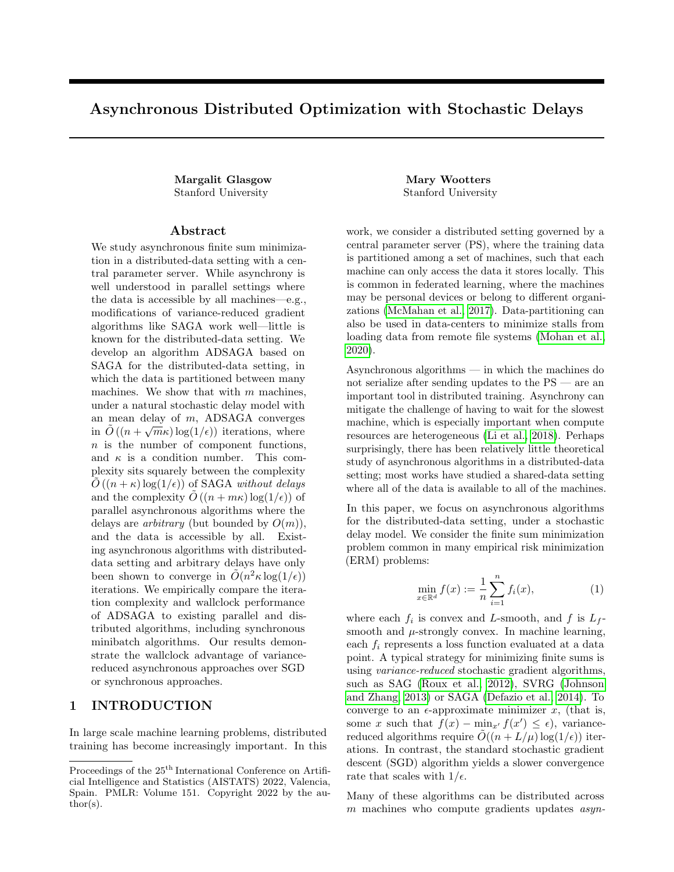Proof. If function i is chosen in iteration  $k$ , then  $u_j$  becomes

$$
u_j \t 1 \t \frac{p_{min}}{p_j} + \frac{p_{min}}{p_j}(r_{i} \t i) \t \frac{m}{n} + \frac{p_{min}}{p_j} \t 1 (i = i_j) \t \frac{m}{n} \t h_j:
$$

Hence in this case, by applying Jensen's inequality, we have

$$
5(k+1) \t 5(k) = c_{5}^{2} u_{j} \t 1 \t \frac{p_{min}}{p_{j}} + \frac{p_{min}}{p_{j}}(r_{i} \t i) \t \frac{m}{n} + \frac{p_{min}}{p_{j}} I(i = i_{j}) \t \frac{m}{n} h_{j}^{2} c_{5}^{2} j u_{j} j^{2}
$$
  

$$
c_{5}^{2} \t \frac{1}{1 - \frac{p_{min}}{p_{j}}} u_{j} \t 1 \t \frac{p_{min}}{p_{j}}^{2} + \frac{1}{\frac{p_{min}}{p_{j}}} \frac{p_{min}}{p_{j}}(r_{i} \t i) \t \frac{m}{n} + \frac{p_{min}}{p_{j}} I(i = i_{j}) \t \frac{m}{n} h_{j}^{2} j u_{j} j^{2}
$$
  

$$
= c_{5}^{2} \t \frac{p_{min}}{p_{j}} j u_{j} j^{2} + \frac{p_{j}}{p_{min}} \frac{p_{min}}{p_{j}}(r_{i} \t i) \t \frac{m}{n} + \frac{p_{min}}{p_{j}} I(i = i_{j}) \t \frac{m}{n} h_{j}^{2}
$$

Now we use Jensen's inequality and the fact that $\frac{p_{min}}{p_i}$  1 to break up the second squared term:

$$
\frac{p_{min}}{p_j} (r_{i} - i) \frac{m}{n} + \frac{p_{min}}{p_j} I(i = i_j) \frac{m}{n} h_j^2
$$
\n
$$
4 \frac{p_{min}^2}{p_j^2} jr_i r_i(x)j_2^2 + j_i j_2^2 + 2 \frac{m}{n} + \frac{p_{min}}{p_j} I(i = i_j) \frac{m}{n} i^2 j_1 j_2^2
$$
\n
$$
4 \frac{p_{min}^2}{p_j^2} jr_i r_i(x)j_2^2 + j_i j_2^2 + 2 \frac{m}{n} + \frac{p_{min}}{p_j} I(i = i_j) i_1 j_2^2
$$
\n
$$
4 \frac{p_{min}^2}{p_j^2} jr_i r_i(x)j_2^2 + j_i j_2^2 + 4 \frac{m}{n} + \frac{p_{min}}{p_j} I(i = i_j) i_2 j_2^2 + 4 \frac{m}{n} + \frac{p_{min}}{p_j} I(i = i_j) i_j j_2^2
$$
\n(9)

Observe that for a xed j,

$$
\frac{X}{i:j(i)=j} - \frac{m}{n} + \frac{p_{min}}{p_j} I(i = i_j) - \frac{2}{i:j(i)=j} - \frac{X}{n} + I(i = i_j) - \frac{2}{n} = -\frac{m}{n} + 1 - \frac{2}{n} + \frac{n}{m} - 1 - \frac{m}{n} - \frac{2}{n} - 4
$$

Finally, taking the expectation over i, we have

$$
\begin{array}{ccccccccc}\nE[ & & 5(k+1)] & & 5(k) & & & & & \\
 & & & & & & & \\
 & & & & & & & \\
 & & & & & & & \\
 & & & & & & & \\
 & & & & & & & \\
 & & & & & & & \\
 & & & & & & & \\
 & & & & & & & \\
 & & & & & & & \\
 & & & & & & & \\
 & & & & & & & & \\
 & & & & & & & & \\
 & & & & & & & & \\
 & & & & & & & & & \\
 & & & & & & & & & \\
 & & & & & & & & & \\
 & & & & & & & & & \\
 & & & & & & & & & \\
 & & & & & & & & & & \\
 & & & & & & & & & & \\
 & & & & & & & & & & \\
 & & & & & & & & & & \\
 & & & & & & & & & & \\
 & & & & & & & & & & \\
 & & & & & & & & & & \\
 & & & & & & & & & & \\
 & & & & & & & & & & \\
 & & & & & & & & & & \\
 & & & & & & & & &
$$

Combining Claim C.6, Claim C.7, and Claim C.8 yields the following lemma. Lemma B.5. (Formal)

$$
E[\,3(k+1) + \,4(k+1) + \,5(k+1)] \quad 3(k) \quad 4(k) \quad 5(k)
$$
\n
$$
\frac{p_{\text{min}} \, m}{4n} \left( \,3(k) + \,4(k) + \,5(k) \right) + \,2 \frac{m p_{\text{min}}}{n} \left( c_3 + 4 c_5 \right) \quad \text{if} \quad i \quad r \quad i(x) \, j_2^2
$$
\n
$$
\frac{2 \, m}{n} \quad \left( p_{\text{min}} \left( 4m L_f + 16 \right) \right) \, j \, j_2^2 \quad \frac{2}{n} \quad \left( 4m L_f + 4 \right) \, j u_j \, j_2^2
$$
\n
$$
\frac{2 \, N}{n} \quad \frac{16m p_{\text{min}}}{n} \quad j g_j \, j_2^2 + j \, j \, j_2^2:
$$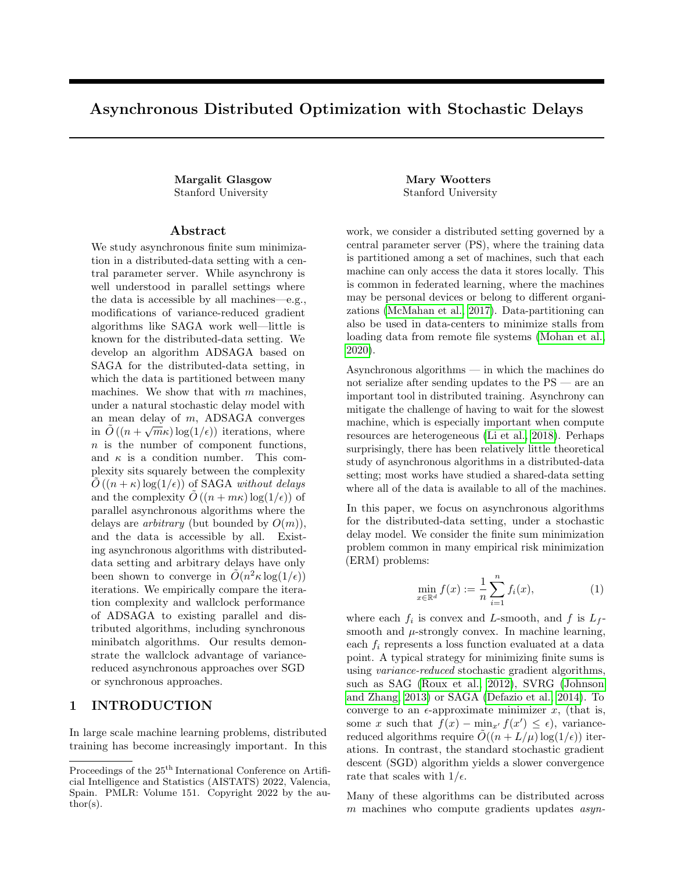Proof.

E[ <sup>3</sup>(k + 1) + <sup>4</sup>(k + 1) + <sup>5</sup>(k + 1)] <sup>3</sup>(k + 1) <sup>4</sup>(k + 1) <sup>5</sup>(k + 1) 2 c3pmin X j jgj j 2 <sup>2</sup> + 2 c3 mpmin n X i jr <sup>i</sup> r <sup>i</sup> (x )j 2 2 pmin m 4n <sup>4</sup>(k) <sup>2</sup> mpmin c<sup>4</sup> 2n X i j i j 2 2 <sup>2</sup> pmin c<sup>4</sup> 4 X j j j j 2 <sup>2</sup> + <sup>2</sup>2pmin c<sup>4</sup> X j jgj j 2 2 + c<sup>5</sup> 2 2 4 pmin X j juj j <sup>2</sup> + 4mpmin c<sup>5</sup> n X i jr <sup>i</sup> r <sup>i</sup> (x )j 2 <sup>2</sup> + j i j 2 <sup>2</sup> + X j 16mp<sup>2</sup> j npmin jgj j 2 <sup>2</sup> + j j j 2 2 3 5 = pmin m 4n <sup>4</sup>(k) + <sup>2</sup> m n X i pmin c<sup>4</sup> 2 + 4pmin c<sup>5</sup> j i j 2 2 + 2 X j pmin c<sup>3</sup> + 2pmin c<sup>4</sup> + 16mp<sup>2</sup> j c5 npmin ! jgj j 2 2 + 2 X j pmin c<sup>4</sup> 4 + 16mp<sup>2</sup> j c5 npmin ! j j j 2 2 + 2 X j ( c5pmin ) ju<sup>j</sup> j 2 2 + <sup>2</sup> mpmin n c<sup>3</sup> + 4mpmin n c5 X i jr <sup>i</sup> r <sup>i</sup> (x )j 2 2 = pmin m 4n ( <sup>3</sup>(k) + <sup>4</sup>(k) + <sup>5</sup>(k)) + <sup>2</sup> m n X i pmin c<sup>4</sup> 2 + 4pmin c<sup>5</sup> j i j 2 2 + 2 X j pmin c<sup>3</sup> + 2pmin c<sup>4</sup> + 16mp<sup>2</sup> j c5 npmin + p 2 min mc<sup>3</sup> 4np<sup>j</sup> ! jgj j 2 2 + 2 X j pmin c<sup>4</sup> 4 + 16mp<sup>2</sup> j c5 npmin ! j j j 2 2 + 2 X j c5pmin + pmin mc<sup>5</sup> 4n juj j 2 2 + <sup>2</sup> mpmin n c<sup>3</sup> + 4mpmin n c5 X i jr <sup>i</sup> r <sup>i</sup> (x )j 2 2 pmin m 4n ( <sup>3</sup>(k) + <sup>4</sup>(k) + <sup>5</sup>(k)) <sup>2</sup> m n X i (pmin (4mL <sup>f</sup> + 16)) j i j 2 2 2 X j 16mpmin n jgj j 2 2 2 X j 16mpmin n j j j 2 2 2 X j mpmin (4mL <sup>f</sup> + 4) ju<sup>j</sup> j 2 2 + <sup>2</sup> mpmin n (c<sup>3</sup> + 4c5) X jr <sup>i</sup> r <sup>i</sup> (x )j 2 2 :

i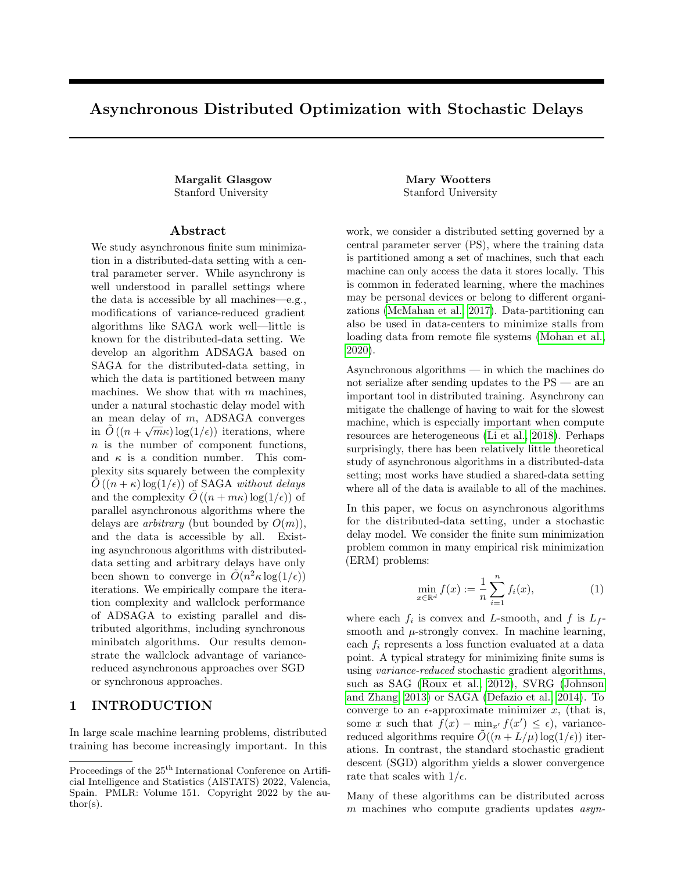Here the rst inequality follows from Claims C.6, C.7, C.8, and the last inequality follows from plugging in our choice of constants:  $c_5 = \frac{4}{3} (4mL_f + 4)$ ,  $c_4 = 22 + \frac{76m}{n}$   $\frac{p_{max}}{p_{min}}$ <sup>2</sup> c<sub>5</sub>, and c<sub>3</sub> = 64 + 168 $\frac{m}{n}$   $\frac{p_{max}}{p_{min}}$ 2 c5. We use the following lemma to bound the P  $\int_{i}$  jr  $\int_{i}$  r  $\int_{i}$  (x )j<sup>2</sup> terms, which appear in Lemmas B.4 and B.5. Lemma C.9. jr<sub>i</sub> r <sub>i</sub>(x )j $_2^2$  Ly<sup>T</sup>r 1:

Proof. By the convexity of each  $f_i$  and their L-smoothness,

$$
\begin{array}{ccc}\nX & \text{if } i \neq i \text{ (x)} \\
\text{if } i \neq j \text{ (x)} \\
\text{if } i \neq j \text{ (x)} \\
\text{if } i \neq j \text{ (x)} \\
\text{if } i \neq j \text{ (x)} \\
\text{if } i \neq j \text{ (x)} \\
\text{if } i \neq j \text{ (x)} \\
\text{if } i \neq j \text{ (x)} \\
\text{if } i \neq j \text{ (x)} \\
\text{if } i \neq j \text{ (x)} \\
\text{if } i \neq j \text{ (x)} \\
\text{if } i \neq j \text{ (x)} \\
\text{if } i \neq j \text{ (x)} \\
\text{if } i \neq j \text{ (x)} \\
\text{if } i \neq j \text{ (x)} \\
\text{if } i \neq j \text{ (x)} \\
\text{if } i \neq j \text{ (x)} \\
\text{if } i \neq j \text{ (x)} \\
\text{if } i \neq j \text{ (x)} \\
\text{if } i \neq j \text{ (x)} \\
\text{if } i \neq j \text{ (x)} \\
\text{if } i \neq j \text{ (x)} \\
\text{if } i \neq j \text{ (x)} \\
\text{if } i \neq j \text{ (x)} \\
\text{if } i \neq j \text{ (x)} \\
\text{if } i \neq j \text{ (x)} \\
\text{if } i \neq j \text{ (x)} \\
\text{if } i \neq j \text{ (x)} \\
\text{if } i \neq j \text{ (x)} \\
\text{if } i \neq j \text{ (x)} \\
\text{if } i \neq j \text{ (x)} \\
\text{if } i \neq j \text{ (x)} \\
\text{if } i \neq j \text{ (x)} \\
\text{if } i \neq j \text{ (x)} \\
\text{if } i \neq j \text{ (x)} \\
\text{if } i \neq j \text{ (x)} \\
\text{if } i \neq j \text{ (x)} \\
\text{if } i \neq j \text{ (x)} \\
\text{if } i \neq j \text{ (x)} \\
\text{if } i \neq j \text{ (x)} \\
\text{if } i \neq j \text{ (x)} \\
\text{if } i \neq j \text{ (x)} \\
\text{if } i \neq j \text{ (x)} \\
\text{if } i \neq j \text{ (x)} \\
\text
$$

Above, we used the fact that  $_{i}$  r  $_{i}$  (x ) = 0.

We now combine Lemma B.4 and Lemma B.5 to nd the total expected di erence in potential.

i

$$
E[ (k+1)] (k) = (E[( (1(k+1) + 2(k+1)))] (1(k) + 2(k)))
$$
  
+ (E[(3(k+1) + 4(k+1) + 5(k+1))] (3(k) + 4(k) + 5(k)))  

$$
2p_{min} (U1 + m^{-}) 0 1 (U1 + m^{-})
$$
  
+ 
$$
\frac{8mp_{min}}{n} \frac{2}{j} \times \frac{1}{j} [r + r + (k)]^2
$$
  
+ 
$$
\frac{mp_{min}}{4n} (3(k) + 4(k) + 5(k)) + 2 \frac{mp_{min}}{n} (c_3 + 4c_5)
$$
  
+ 
$$
\frac{y}{(11 + m^{-})} \frac{7}{n} (0 0 \frac{y}{11} - 2 \frac{y}{11} + r + (k) + 2 \frac{m_{min}}{n} (c_3 + 4c_5)
$$
  
+ 
$$
\frac{2p_{min}}{4n} (3(k) + 4(k) + 5(k))
$$
  
+ 
$$
\frac{mp_{min}}{4n} (3(k) + 4(k) + 5(k))
$$
  
+ 
$$
\frac{mp_{min}}{n} (3(k) + 4(k) + 5(k))
$$
  
+ 
$$
\frac{mp_{min}}{n} (3(k) + 4(k) + 5(k))
$$
  
+ 
$$
\frac{mp_{min}}{n} (3(k) + 4(k) + 5(k))
$$
  
+ 
$$
\frac{mp_{min}}{n} (3(k) + 4(k) + 5(k))
$$
  
+ 
$$
\frac{mp_{min}}{n} (3(k) + 4(k) + 5(k))
$$
  
+ 
$$
\frac{mp_{min}}{n} (3(k) + 4(k) + 5(k))
$$
  
+ 
$$
\frac{mp_{min}}{n} (3(k) + 4(k) + 5(k))
$$
  
+ 
$$
\frac{mp_{min}}{n} (3(k) + 4(k) + 5(k))
$$
  
+ 
$$
\frac{mp_{min}}{n} (3(k) + 4(k) + 5(k))
$$
  
+ 
$$
\frac{mp_{min}}{n} (3(k) + 4(k) + 5(k))
$$
  
+ 
$$
\frac{mp_{min}}{n} (3(k) + 4(k) + 5(k))
$$
  
+ 
$$
\frac{mp_{min}}
$$

where

 $C = 2$   ${}^{2}L (8 + c_3 + 4c_5);$ 

and in the last inequality, we have used Lemma C.9.

Now because is convex, f (x) f (x)  $y^{\frac{y^{T}r-1}{n}}$ , and so rearranging terms and plugging in the value o $t_1$ , we have

$$
E[ (k+1)] (k) \t2p_{min} y T 0 0 y m p_{min} C 3(k) + 4(k) + 5(k))
$$
  
\n
$$
\frac{C_1 mp_{min}}{4n} (f(x) f(x)) mp_{min} C \frac{C_1}{4n} y^T r 1
$$
  
\n
$$
= 2p_{min} y T 0 0 y m p_{min} C 1 (k) + 3(k) + 4(k) + 5(k))
$$
  
\n
$$
= 2p_{min} y T 0 0 y m p_{min} C \frac{C_1}{4n} y^T r 1 (k) + 3(k) + 4(k) + 5(k))
$$
  
\n
$$
= 2p_{min} C \frac{C_1}{4n} y^T r 1 (k) + 3(k) + 4(k) + 5(k))
$$
  
\n
$$
= 2p_{min} C \frac{C_1}{4n} y^T r 1 (k) + 3(k) + 4(k) + 5(k)
$$
  
\n
$$
(11)
$$

The next claim shows that for small enough , the nal term in this equation is large.

Claim C.10. For  $\frac{1}{2rL + 2}$   $\frac{p_1}{rmL + L}$ ,

$$
C \quad \frac{c_1}{4n} \quad ;
$$

 $\Box$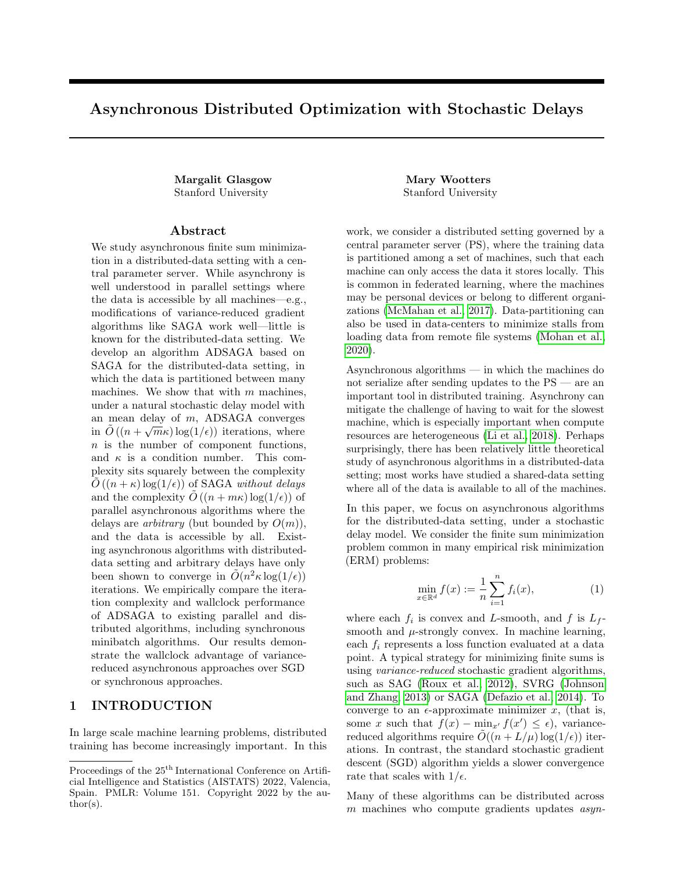where  $r =$ 8 76+168  $\frac{\text{p}_{\text{max}}}{\text{p}_{\text{min}}}$   $\frac{2}{n}$  $\frac{p_{min}}{3}$  as in Theorem B.1.

Proof. First observe that

$$
r \frac{8+68+168 \frac{p_{max}}{p_{min}}^2 \frac{2 m}{n} \frac{4}{3} (4mL_f +4)}{2(mL_f +1)} = \frac{L(8+c_3+4c_5)}{2L(mL_f +1)}.
$$

Thus

C 
$$
\frac{C_1}{4n}
$$
 2 2<sup>2</sup>r(mL<sub>f</sub> + 1)  
= 2 (1 rL <sup>2</sup>rmL<sub>f</sub> L)

for  $\frac{1}{2rL+2}p^1\frac{1}{rmL+L}$ . Here in the last line we have used the fact that  $(1 rL \frac{2rmL}{f}L)$  is increasing in, and for any a; b > 0, 1  $\frac{a}{2(a+b)}$   $\frac{b^2}{(2(a+b))}$  $\frac{b^2}{(2(a+b))^2}$   $\frac{1}{2}$  (we plugged in a = rL and  $b^2$  = rmL f L).

Using the strong convexity of f, we havey<sup>T</sup> r 1 n jyj $_2^2$ : Hence plugging Claim C.10 into(11) yields the following lemma.

Lemma B.6. For  $\lt \frac{1}{2rL+2}p^1$   $\frac{1}{rmL+L}$ ,  $E[{ (k+1)}]$  (k)  $2p_{min}$  (lii  $(U1 + m^{-})$  $\frac{m}{2}$  0 0 1  $\mathsf{y}$  $(U1 + m^{-})$ mp<sub>min</sub>  $\frac{P_{\text{min}}}{4n}$ ( <sub>1</sub>(k) + <sub>3</sub>(k) + <sub>4</sub>(k) + <sub>5</sub>(k))

Recall that our goal is to nd some

 $\frac{5\,\text{min}}{4n}$  such that

 $E[{ (k+1)}]$  (1) (k):

We will do this by nding some that satis es for all  $y; U$  and  $\overline{\phantom{a}}$ :

$$
\begin{array}{ccccccccc}\n & y & \stackrel{\top}{\cdot} & \stackrel{m}{\cdot} & 0 & y \\
 & & (U1 + m^{-}) & 0 & 1 & (U1 + m^{-}) & \\
 & & y & \stackrel{\top}{\cdot} & 1 & 1 & y & 2 \\
 & & (U1 + m^{-}) & 1 & 2 & (U1 + m^{-}) & \\
\end{array}
$$
\n(12)

or equivalently

$$
Q\quad \frac{}{p_{min}}I;
$$

where

$$
Q := \begin{array}{ccccccccc} 1 & 1 & ^{1=2} & m & 0 & 1 & 1 & ^{1=2} \\ 1 & 2 & 0 & 2 & 1 & 2 & \end{array}.
$$
 (13)

Indeed, establishing(12) will imply that  $E[ (k + 1)]$  (k)  $2(k)$   $\frac{mp_{min}}{4}(1-k) + 3(k) + 4(k) + 5(k));$ so if  $\frac{mp_{min}}{4n}$ , then E[ (k)]  $(1)$  (k).

We bound the smallest eigenvalue oQ by evaluating the trace and determinant of the product of 2 2 matrices that underlie the block matrices above in the matrix product forming Q.

Lemma C.11. For any symmetric 2 2 matrix A,  $_{min}$  (A) Det( A )  $Tr(A)$ .

$$
f_{\rm{max}}
$$

 $\Box$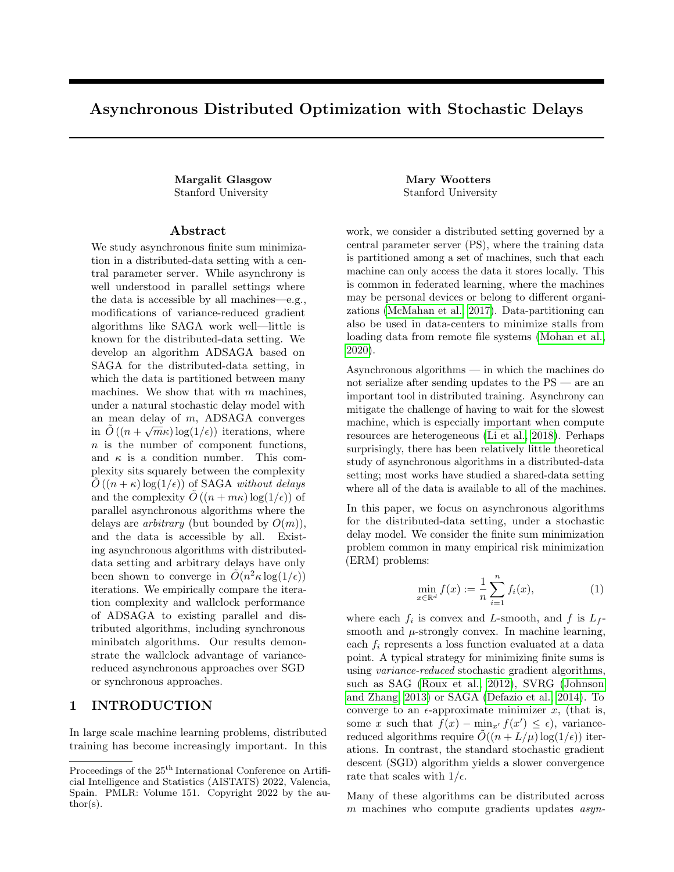

Figure 4: Comparison of ADSAGA (this work), ASAGA (Leblond et al., 2018), minibatch SAGA (Gazagnadou et al., 2019), SGD (Lian et al., 2018), and IAG (Gurbuzbalaban et al., 2017): Iteration complexity to achieve  $|x_k - x^*|^2 \leq 0.1$ , averaged over 8 runs. (b) Comparison of IAG and ADSAGA with shifted-exponential delays for 60 machines.

*Proof.* Let  $d := \text{Det}(A)$ , and  $t := \text{Tr}(A)$ . By the characteristic equation, putting

$$
\lambda_{min}(A) = \frac{t - \sqrt{t^2 - 4d}}{2} = \frac{t}{2} \left( 1 - \sqrt{1 - \frac{4d}{t^2}} \right) \ge \frac{t}{2} \left( 1 - \left( 1 - \frac{2d}{t^2} \right) \right) = \frac{d}{t}
$$

where the inequality follows from the fact that  $\sqrt{1+x} \leq 1 + \frac{x}{2}$  for  $x \geq -1$ .

Claim C.12. For  $\eta \leq \frac{1}{2rL+2\sqrt{rmL_fL}}$ ,  $\lambda_{min}(Q) > \min(1, \mu mn).$ 

*Proof.* We compute the determinant and trace of Q. Note that det  $\left( \begin{pmatrix} 1 & -1 \\ -1 & 2 \end{pmatrix} \right) = 1$ .

$$
D := \text{Det}(Q) = 2\mu m\eta
$$

Using the circular law of trace, and computing the inverse  $\begin{pmatrix} 1 & -1 \\ -1 & 2 \end{pmatrix}^{-1} = \begin{pmatrix} 2 & 1 \\ 1 & 1 \end{pmatrix}$ , we have

$$
\text{Tr}(Q) = 2\mu n\eta + 2 = D + 2.
$$

Now by Lemma C.11

$$
\lambda_{min}(Q) \ge \frac{D}{D+2} \ge \min\left(1, \frac{D}{2}\right) = \min\left(1, \mu m\eta\right),\,
$$

where the second inequality holds for any  $D > 0$ .

Recalling our bound that  $\gamma \leq \frac{mp_{\text{min}}}{4n}$ , this claim shows that we can choose  $\gamma = mp_{\text{min}} \min \left( \frac{1}{4n}, \mu \eta \right)$  as desired.

## D Extended Experiments

We conduct experiments to compare the convergence rates of ADSAGA to other state-of-the-art algorithms: SGD, IAG, ASAGA, and minibatch SAGA. In our first set of experiments, we simulate the stochastic delay model of Section 1.1. In our second set, we implement these algorithms in a distributed compute cluster. The main takeaways of our experiments are the following:

 $\Box$ 

 $\Box$ 

,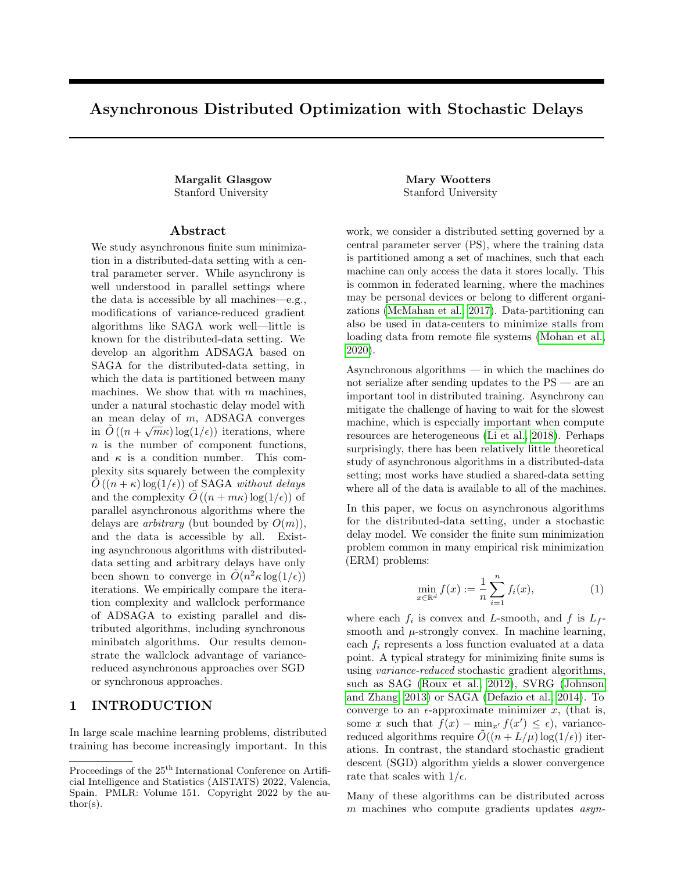$$
\rm \qquad \qquad (a)\qquad \qquad (b)
$$

Figure 5: (a) Convergence accuracy after 100 epochs. (b) Wallclock time to achieve  $|x_k - x^*|_2^2 \le 10^{-10}$ , averaged over 8 runs.

- 1. In experiments on a cluster, ADSAGA is comparable to IAG and outperforms all other algorithms in wall-clock time.
- 2. In experiments with simulated (shifted) exponential delays, ADSAGA outperforms IAG in iteration complexity.
- 3. ADSAGA performs well even without knowledge of the update rates  $\{p_i\}$ , even with significant machine heterogeneity.

Data. For all experiments, we simulate these algorithms on a randomly-generated least squares problem  $\min_{\hat{x}} |A\hat{x} - b|_2^2$ . Here  $A \in \mathbb{R}^{n \times d}$  is chosen randomly with i.i.d. rows from  $\mathcal{N}(0, \frac{1}{d}I_d)$ , and  $x \sim \mathcal{N}(0, I_d)$ . The observations b are noisy observations of the form  $b = Ax + Z$ , where  $Z \sim \mathcal{N}(0, \sigma^2 I_n)$ . In the first set of experiments with simulated delays, we choose  $n = 120$ ,  $d = 60$ , and  $\sigma = 1$ . For the the second set of experiments on the distributed cluster, we choose a larger 10GB least squares problem with  $n = 600000$  and  $d = 200000$ , and  $\sigma = 100$ .

Simulated Delays. In our first set of experiments, we empirically validate our theoretical results by comparing the iteration complexity of these algorithms in the stochastic delay model described in Section 1.1, and in a more general delay model. First we simulate ADSAGA, SGD, IAG in the distributed data setting in the delay model of Section 1.1 with all  $p_i$  equal; we simulate ASAGA in this model in the shared-data setting; and we also compare to minibatch SAGA assuming a *synchronous* implementation with a minibatch size m equal to the number of machines. We run ADSAGA, minibatch SAGA, ASAGA, SGD, and IAG on  $\hat{x}$  with m machines for  $m \in \{10, 20, 40, 60, 120\}$ . To be fair to all algorithms, for all experiments, we use a grid search to find the best step size in  $\{0.05 \times i\}_{i \in [40]}$ , ensuring that none of the best step sizes were at the boundary of this set. Second, we simulate ADSAGA and SGD in a more general delay model where the update time is a *shifted* exponential random variable. In this model, each machine takes  $T$  time to compute its update, where  $T$  is a random variable distributed according to an exponential distribution with some shift s:

$$
T \sim s + \operatorname{Exp}(1).
$$

See Remark 1.1 for why this model reduces to the delay model of Section 1.1 when the shift is zero. Shifted exponential or heavy-tailed work-time distributions are observed in practice (Dean and Barroso (2013); Lee et al.  $(2017b)$ .

In Figure 4, we plot the expected iteration complexity to achieve  $|\hat{x} - x^*|_2^2 \le 0.1$ , where  $x^* := \min_{\hat{x}} |A\hat{x} - b|_2^2$  is the empirical risk minimizer. Figure 4 demonstrates that, in the model in Section 1.1, ADSAGA outperforms the two alternative state-of-the-art algorithms for the distributed setting: SGD and IAG, especially as the number of machines m grows. SGD converges significantly more slowly, even for a small number of machines, due to the variance in gradient steps. In a more practical delay setting with shifted-exponential update times (no longer memoryless, but still heavy-tailed), with 60 machines, ADSAGA still outperforms IAG (Figure 4(b)).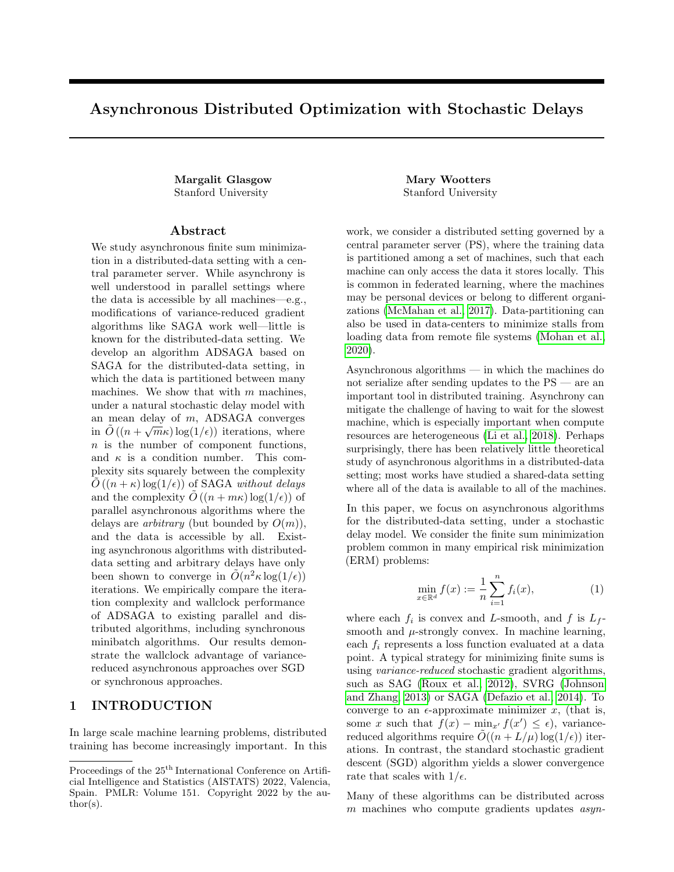Distributed Experiments. In our second set of experiments, we run the five data-distributed algorithms (ADSAGA, SGD, IAG, minibatch-SAGA, and minibatch-SGD) in the distributed compute cluster and compare their wallclock times to convergence. We do not simulate the shared-data algorithm ASAGA because the full dataset is too large to fit in RAM, and loading the data from memory is very slow. The nodes used contained any of the following four processors: Intel E5-2640v4, Intel 5118, AMD 7502, or AMD 7742. We implement the algorithms in Python using MPI4py, an open-source MPI implementation. For ADSAGA, IAG, asynchronous SGD, and minibatch SAGA, each node stores its partition of the data in RAM. In each of the three asynchronous algorithms, at each iteration, the PS waits to receive a gradient update from any node (using MPI.ANY SOURCE). The PS then sends the current parameter back to that node and performs the parameter update specified by the algorithm. In the synchronous minibatch algorithm, the PS waits until updates have been received by all nodes before performing an update and sending the new parameter to all nodes. To avoid bottlenecks at the PS, the PS node checks the convergence criterion and logs progress only once per epoch in all algorithms.

We run ADSAGA, SGD, IAG, and minibatch-SAGA on  $\hat{x}$  with one PS and m worker nodes for  $m \in$  $\{5, 10, 15, 20, 30\}$ . We implement the vanilla version of ADSAGA, which does not require the variables  $u_i$ designed for heterogeneous update rates. In practice, while we measured substantial heterogeneity in the update rates of each machine — with some machines making up to twice as many updates as others — we observed that the vanilla ADSAGA implementation worked just as well as the full implementation with the  $u_i$  variables. For all algorithms, we use a block size of 200 (as per Remark 1.2), and we perform a hyperparameter grid search over step sizes to find the hyperparameters which yield the smallest distance  $\hat{x} - x^*$  after 100 epochs.

In Figure 5, we compare the performance of these algorithms in terms of iteration complexity and wallclock time. In Figure 5(a), we plot the accuracy  $|\hat{x} - x^*|_2^2$  of each algorithm after 100 epochs, where  $x^* := \min_{\hat{x}} |A\hat{x} - b|_2^2$  is the empirical risk minimizer. We observe that the algorithms that do not use variance reduction (asynchronous SGD and minibatch-SGD) are not able to converge nearly as well as the variance-reduced algorithms. ADSAGA and IAG perform similarly, while minibatch-SAGA performs slightly better in terms of iteration complexity. In Figure 5(b), we plot the expected wallclock time to achieve to achieve  $|\hat{x} - x^*|_2^2 \le 10^{-10}$ . We only include the variance-reduced algorithms in this plot, as we were not able to get SGD to converge to this accuracy in a reasonable amount of time. Figure 5(b) demonstrates that while the synchronous minibatch-SAGA algorithm may be advantageous in terms of iteration complexity alone, due to the cost of waiting for all workers to synchronize at each iteration, the asynchronous algorithms (IAG and ADSAGA) converge in less wallclock time. Both IAG and ADSAGA perform similarly. This advantage of asynchrony increases as the number of machines increases: while with 5 machines the asynchronous algorithms are only 20% faster, with 30 machines, they are 60% faster. Our experiments confirm that ADSAGA, the natural adaptation of SAGA to the distributed setting, is both amenable to theoretical analysis and performs well practically.

## E Minibatch Rates

We prove minibatch rates for SAGA in this appendix for both the shared and distributed data setting. In the shared data setting, minibatch SAGA is an instantiation Algorithm 4 with  $S_i = [n]$  for all  $j \in [m]$ . In the distributed data setting,  $S_j$  is the set of functions held at machine j.

**Proposition E.1.** Let  $f(x) = \frac{1}{n} \sum_{i} f_i(x)$  be  $\mu$ -strongly convex and  $L_f$ -smooth. Suppose each  $f_i$  is convex and L-smooth. Let  $\sigma^2 := \mathbb{E}_{i,j} |\nabla f_i(x^*)|_2^2$ .

Consider the minibatch SAGA algorithm (Algorithm  $4$ ) with a minibatch size of m for either the shared data or distributed data setting with m machines. Then with a step size of  $\eta = \frac{1}{2mL_f + 3L}$ , after

$$
\left(\frac{3n}{m} + \frac{12L}{m\mu} + \frac{4L_f}{\mu}\right) \log \left(\frac{|x^0 - x^*|_2^2 + \frac{4n\sigma^2}{(2mL_f + 3L)^2}}{\epsilon}\right)
$$

iterations, ie.  $\tilde{O}\left(n+\frac{L}{\mu}+\frac{mL_f}{\mu}\log(1/\epsilon)\right)$  total gradient computations, we have

$$
|x^k - x^*| \le \epsilon.
$$

*Proof.* For convenience, we define  $y^k := x^k - x^*$ , and  $\nabla_i := \nabla f_i(x)$ . When the iteration k is clear from context, we omit the superscript  $k$ .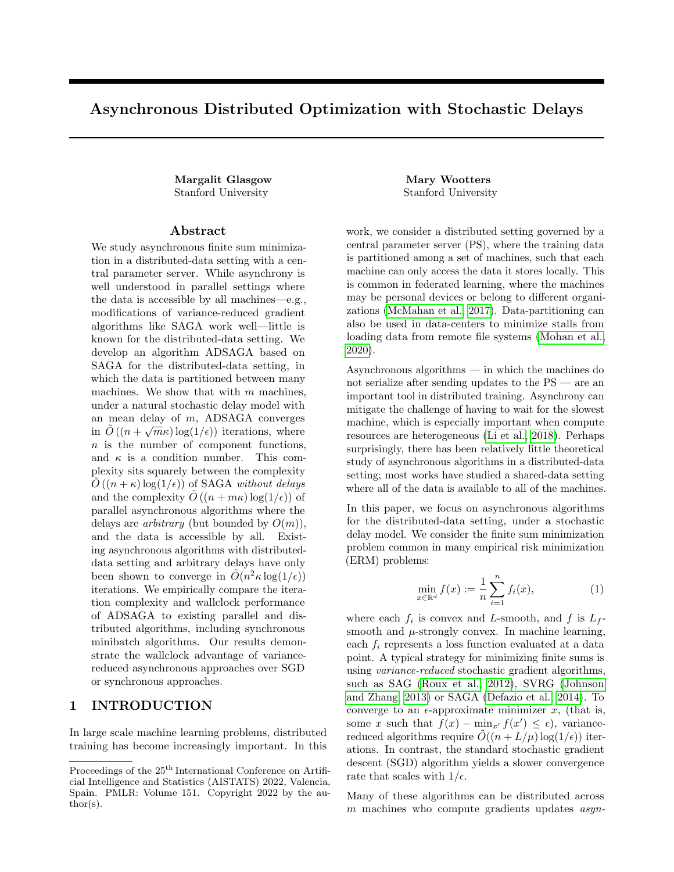Algorithm 4 Minibatch SAGA

| MinibatchSAGA $x, \eta, \{f_i\}, \{S_i\}, t$            |                                                  |
|---------------------------------------------------------|--------------------------------------------------|
| $\alpha_i = 0$ for $i \in [n]$                          | . Initialize last gradients to 0 at each machine |
| $\overline{\alpha} = 0$                                 | . Initialize last gradient averages at PS        |
| for $k=0$ to t do                                       |                                                  |
| for $j = 1$ to m do                                     |                                                  |
| $i_j \sim \text{Uniform}(S_i)$                          | . Randomly choose a function                     |
| $g \leftarrow \sum_{i} \nabla f_{i_i}(x)$               | . Compute the minibatch gradient                 |
| $\beta \leftarrow \sum_i \alpha_{i_i}(x)$               | . Compute the variance reduction term            |
| end for                                                 |                                                  |
| for $j = 1$ to m do                                     |                                                  |
| $\alpha_{i_j} \leftarrow \nabla f_{i_j}(x)$             | . Update the relevant $\mu$ variables            |
| $x \leftarrow x - \eta(q - \beta + m\overline{\alpha})$ | . Take a gradient step                           |
| $\overline{\alpha} \leftarrow E_i[\alpha_i]$            | . Update $\overline{\phantom{a}}$                |
| end for                                                 |                                                  |
| end for                                                 |                                                  |
| Return x                                                |                                                  |

Consider the following potential function

$$
\phi(x,\alpha) := \phi_1(x,\alpha) + \phi_2(x,\alpha),
$$

where

$$
\phi_1(x, \alpha) := |x - x^*|_2^2; \n\phi_2(x, \alpha) := 4n\eta^2 \mathbb{E}_{i,j} \left[ |\alpha_i - \nabla_i(x^*)|_2^2 \right].
$$

For convenience we denote  $\phi(k) := \phi(x^k, \alpha^k)$ .

Let  $B := \{i_j\}_{j \in [m]}$  be the minibatch chosen at iteration k. Let  $\mathbf{1}_B \in \mathbb{N}^n$  be the indicator vector for the multi-set B. Let  $S(B)$  be the set containing all elements of B and  $\mathbf{1}_{S(B)}$  the corresponding indicator vector. Let  $\mathbf{1}_{S_j} \in \{0,1\}^n$ be the indicator vector of  $S_j$ , the data points at machine j.

### Lemma E.2.

$$
\mathsf{E}_B[\phi_1(k+1)] - \phi_1(k) \leq -2m\eta y^T \nabla f(x) + \eta^2 m^2 |\nabla f(x)|_2^2 + 2\eta^2 m L y^T \nabla f(x) + 2\eta^2 m \mathsf{E}_{i,j} [|\alpha_i - \nabla_i(x^*)|_2^2].
$$

*Proof.* Let  $\alpha$  denote the matrix whose *i*th column is  $\alpha_i$ . We abuse notation by using  $\overline{\alpha}$  to also mean the matrix  $\mathbf{1}_n \overline{\alpha}^T$ . We have

$$
\phi_1(k+1) - \phi_1(k) = -2m\eta y^T (\nabla - \alpha + \overline{\alpha}) \mathbf{1}_B + \eta^2 \mathbf{1}_B^T (\nabla - \alpha + \overline{\alpha})^T (\nabla - \alpha + \overline{\alpha}) \mathbf{1}_B,
$$

so

$$
E_B[\phi_1(k+1)] - \phi_1(k) = -\frac{2m}{n}\eta y^T \nabla f(x) + \eta^2 E_B \left[ \mathbf{1}_B^T (\nabla - \alpha + \overline{\alpha})^T (\nabla - \alpha + \overline{\alpha}) \mathbf{1}_B \right]
$$
  

$$
= -\frac{2m}{n}\eta y^T \nabla f(x) + \eta^2 \operatorname{Tr} \left( E_B \left[ \mathbf{1}_B \mathbf{1}_B^T \right] (\nabla - \alpha + \overline{\alpha})^T (\nabla - \alpha + \overline{\alpha}) \right),
$$
 (14)

 $\Box$ 

where the second line follows from the circular law of trace.

Consider first the shared data case. Here we have

$$
\mathsf{E}_B\left[\mathbf{1}_B\mathbf{1}_B^T\right] = \frac{m(m-1)}{n(n-1)}\mathbf{1}\mathbf{1}^T + \left(\frac{m}{n} - \frac{m(m-1)}{n(n-1)}\right)I_n.
$$

In the distributed data case, we have

$$
\mathsf{E}_B\left[\mathbf{1}_B \mathbf{1}_B^T\right] = \frac{m^2}{n^2} \mathbf{1} \mathbf{1}^T - \frac{m^2}{n^2} \sum_j \mathbf{1}_{S_j} \mathbf{1}_{S_j}^T + \frac{m}{n} I_n \preceq \frac{m^2}{n^2} \mathbf{1} \mathbf{1}^T + \frac{m}{n} I_n.
$$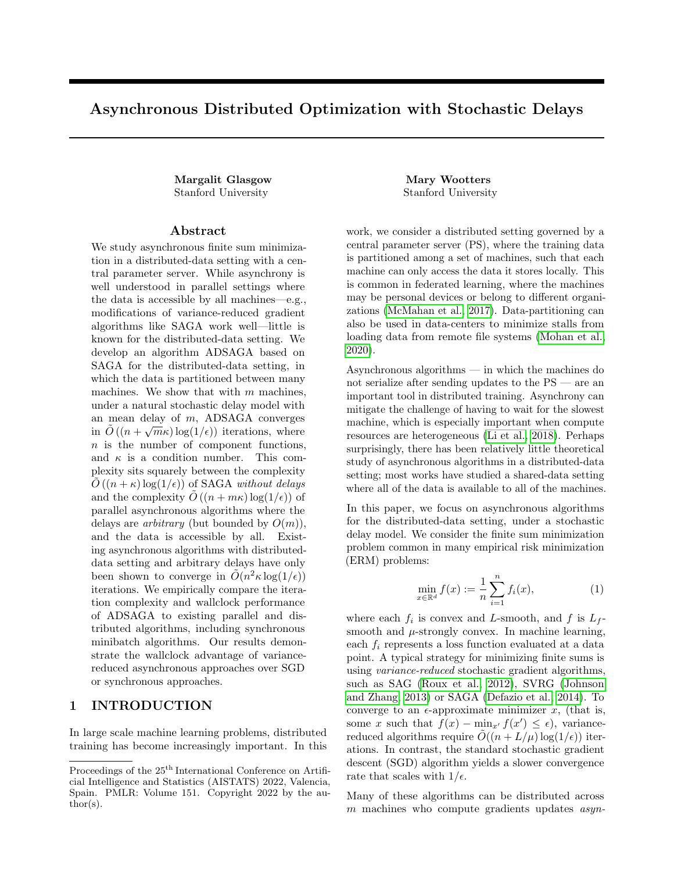Hence by linearity of the trace operator, in both cases,

$$
\begin{split}\n&\text{Tr}\left(\mathsf{E}_{B}\left[\mathbf{1}_{B}\mathbf{1}_{B}^{T}\right](\nabla-\alpha+\overline{\alpha})^{T}(\nabla-\alpha+\overline{\alpha})\right) \\
&\leq\frac{m^{2}}{n^{2}}\text{Tr}\left(\mathbf{1}\mathbf{1}^{T}(\nabla-\alpha+\overline{\alpha})^{T}(\nabla-\alpha+\overline{\alpha})\right)+\frac{m}{n}\text{Tr}\left((\nabla-\alpha+\overline{\alpha})^{T}(\nabla-\alpha+\overline{\alpha})\right) \\
&=\frac{m^{2}}{n^{2}}\mathbf{1}^{T}(\nabla-\alpha+\overline{\alpha})^{T}(\nabla-\alpha+\overline{\alpha})\mathbf{1}+\frac{m}{n}\sum_{i}|\nabla_{i}-\alpha_{i}+\overline{\alpha}|_{2}^{2} \\
&\leq m^{2}|\nabla f(x)|_{2}^{2}+2m\mathsf{E}_{i,j}\left[\nabla_{i}-\nabla_{i}(x^{*})\right]+2m\mathsf{E}_{i,j}\left[\alpha_{i}-\nabla_{i}(x^{*})+\overline{\alpha}\right] \\
&\leq m^{2}|\nabla f(x)|_{2}^{2}+2m\mathsf{E}_{i,j}\left[\nabla_{i}-\nabla_{i}(x^{*})\right]+2m\mathsf{E}_{i,j}\left[\alpha_{i}-\nabla_{i}(x^{*})\right],\n\end{split}
$$

where the third line follows from the circular law of trace, the fourth line from Jensen's inequality, and the fifth line from the positivity of variance, that is  $\mathbb{E}_{i,j}[\alpha_i - \nabla_i(x^*) + \overline{\alpha}] = \mathbb{E}_{i,j}[\alpha_i - \nabla_i(x^*)] + |\overline{\alpha}|_2^2$ .

Plugging in Lemma C.9 and combining with (14) yields the lemma.

#### Lemma E.3.

$$
\mathsf{E}_B[\phi_2(k+1)] - \phi_2(k) \le -\left(1 - \exp\left(-\frac{m}{n}\right)\right)\phi_2(k) + 4m\eta^2 Ly^T \nabla f(x)
$$

Proof.

$$
\phi_3(k+1) - \phi_3(k) = 4n\eta^2 \left( \sum_{i \in S(B)} \left( |\nabla_i - \nabla_i(x^*)|_2^2 - |\alpha_i - \nabla_i(x^*)|_2^2 \right) \right) \tag{15}
$$

.

In the shared data setting,  $E_B[\mathbf{1}_{S(B)}] = (1 - (1 - \frac{1}{n})^m) \mathbf{1}$ . In the distributed data setting,  $E_B[\mathbf{1}_{S(B)}] = \frac{m}{n} \mathbf{1}$ . Now

$$
\left(1 - \exp\left(-\frac{m}{n}\right)\right) \le \left(1 - \left(1 - \frac{1}{n}\right)^m\right) \le \frac{m}{n}
$$

Plugging these bounds into (15) with Lemma C.9 directly yields the lemma.

Combining these two lemmas, we get

$$
\mathbf{E}[\phi(k+1)] - \phi(k) \le (-2\eta m + 6m\eta^2 L)y^T \nabla f(x) + \eta^2 m^2 |\nabla f(x)|_2^2 - \left(1 - \frac{m}{2n} - \exp\left(-\frac{m}{n}\right)\right) \phi_2(k).
$$

Now for  $\eta < \frac{1}{6L}$ , we have

$$
(-2m\eta + 6m\eta^{2}L)y^{T}\nabla f(x) + \eta^{2}m^{2}|\nabla f(x)|_{2}^{2} \le -\eta my^{T}\nabla f(x) + \eta^{2}m^{2}|\nabla f(x)|_{2}^{2}.
$$

Further, if  $\eta < \frac{1}{2mL_f}$ , by the  $L_f$ -smoothness of f, we have

$$
-\eta m y^T \nabla f(x) + \eta^2 m^2 |\nabla f(x)|_2^2 \le -\frac{\eta m}{2} y^T \nabla f(x).
$$

By the  $\mu$ -strong convexity of f, we have

$$
-\frac{\eta m}{2}y^T \nabla f(x) \le -\frac{\mu\eta m}{2}|y|_2^2 = \frac{\mu\eta m}{2}\phi_1(k).
$$

Further,  $\left(1 - \frac{m}{2n} - \exp\left(-\frac{m}{n}\right)\right) \ge \frac{m}{3n}$ . It follows that for  $\eta \le \frac{1}{2mL_f + 6L}$ ,

$$
\mathbf{E}[\phi(k+1)] - \phi(k) \le \frac{\eta\mu m}{2}\phi_1(k) - \frac{m}{3n}\phi_2(k). \tag{16}
$$

Choosing  $\eta = \frac{1}{2mL_f + 6L}$ , it follows that

$$
\mathsf{E}_B[\phi(k+1)|\phi(k)] \le (1-\gamma)\,\phi(k),
$$

 $\Box$